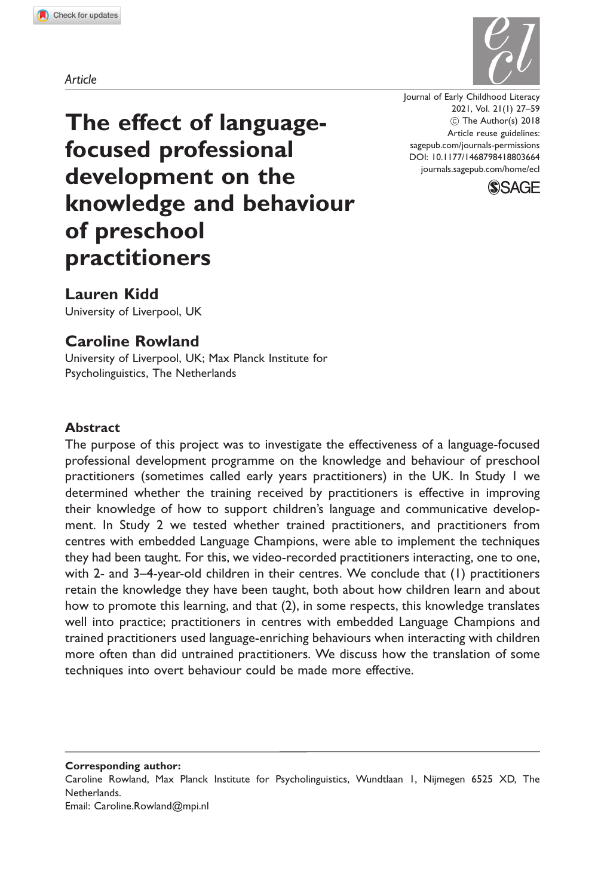



The effect of languagefocused professional development on the knowledge and behaviour of preschool practitioners

Journal of Early Childhood Literacy 2021, Vol. 21(1) 27–59  $\circ$  The Author(s) 2018 Article reuse guidelines: [sagepub.com/journals-permissions](https://uk.sagepub.com/en-gb/journals-permissions) DOI: [10.1177/1468798418803664](https://doi.org/10.1177/1468798418803664) <journals.sagepub.com/home/ecl>



Lauren Kidd University of Liverpool, UK

# Caroline Rowland

University of Liverpool, UK; Max Planck Institute for Psycholinguistics, The Netherlands

## Abstract

The purpose of this project was to investigate the effectiveness of a language-focused professional development programme on the knowledge and behaviour of preschool practitioners (sometimes called early years practitioners) in the UK. In Study 1 we determined whether the training received by practitioners is effective in improving their knowledge of how to support children's language and communicative development. In Study 2 we tested whether trained practitioners, and practitioners from centres with embedded Language Champions, were able to implement the techniques they had been taught. For this, we video-recorded practitioners interacting, one to one, with 2- and 3-4-year-old children in their centres. We conclude that (1) practitioners retain the knowledge they have been taught, both about how children learn and about how to promote this learning, and that (2), in some respects, this knowledge translates well into practice; practitioners in centres with embedded Language Champions and trained practitioners used language-enriching behaviours when interacting with children more often than did untrained practitioners. We discuss how the translation of some techniques into overt behaviour could be made more effective.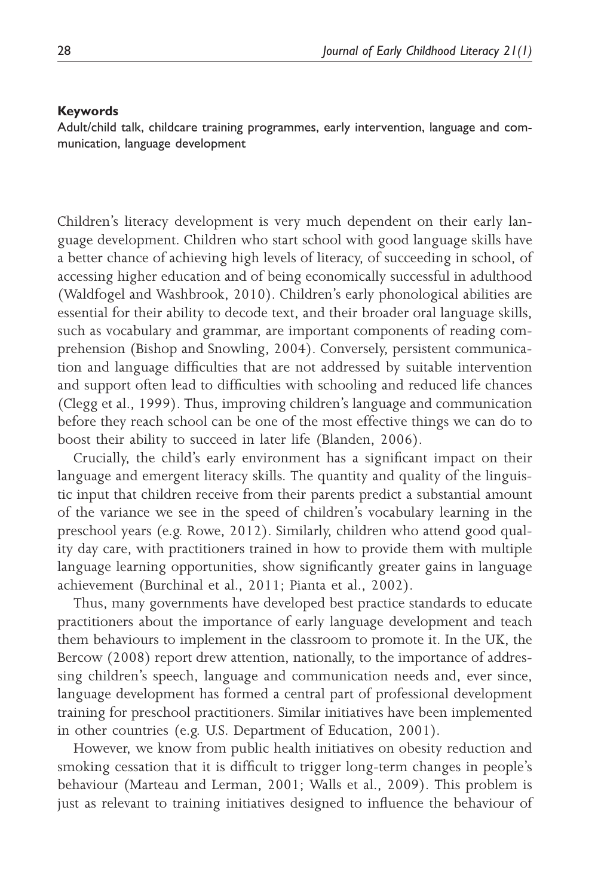#### Keywords

Adult/child talk, childcare training programmes, early intervention, language and communication, language development

Children's literacy development is very much dependent on their early language development. Children who start school with good language skills have a better chance of achieving high levels of literacy, of succeeding in school, of accessing higher education and of being economically successful in adulthood (Waldfogel and Washbrook, 2010). Children's early phonological abilities are essential for their ability to decode text, and their broader oral language skills, such as vocabulary and grammar, are important components of reading comprehension (Bishop and Snowling, 2004). Conversely, persistent communication and language difficulties that are not addressed by suitable intervention and support often lead to difficulties with schooling and reduced life chances (Clegg et al., 1999). Thus, improving children's language and communication before they reach school can be one of the most effective things we can do to boost their ability to succeed in later life (Blanden, 2006).

Crucially, the child's early environment has a significant impact on their language and emergent literacy skills. The quantity and quality of the linguistic input that children receive from their parents predict a substantial amount of the variance we see in the speed of children's vocabulary learning in the preschool years (e.g. Rowe, 2012). Similarly, children who attend good quality day care, with practitioners trained in how to provide them with multiple language learning opportunities, show significantly greater gains in language achievement (Burchinal et al., 2011; Pianta et al., 2002).

Thus, many governments have developed best practice standards to educate practitioners about the importance of early language development and teach them behaviours to implement in the classroom to promote it. In the UK, the Bercow (2008) report drew attention, nationally, to the importance of addressing children's speech, language and communication needs and, ever since, language development has formed a central part of professional development training for preschool practitioners. Similar initiatives have been implemented in other countries (e.g. U.S. Department of Education, 2001).

However, we know from public health initiatives on obesity reduction and smoking cessation that it is difficult to trigger long-term changes in people's behaviour (Marteau and Lerman, 2001; Walls et al., 2009). This problem is just as relevant to training initiatives designed to influence the behaviour of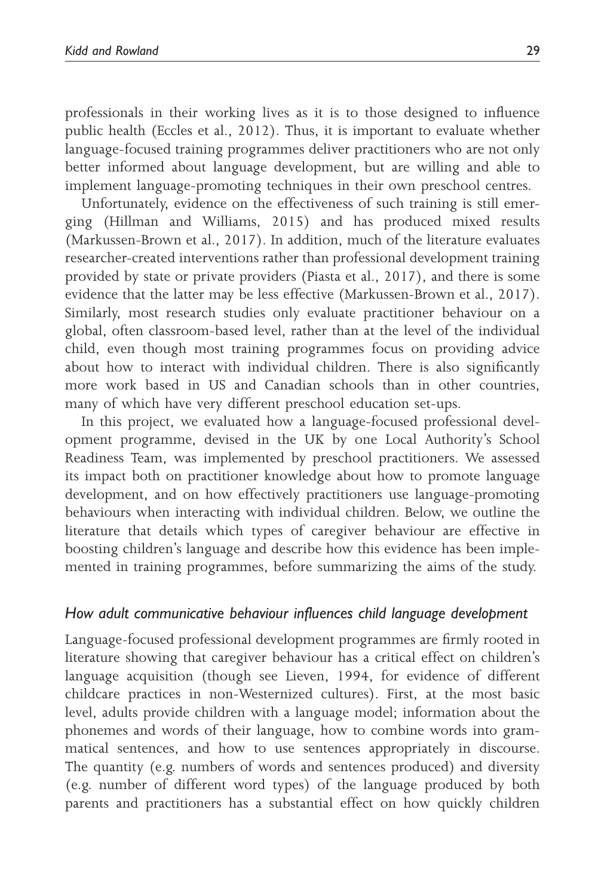professionals in their working lives as it is to those designed to influence public health (Eccles et al., 2012). Thus, it is important to evaluate whether language-focused training programmes deliver practitioners who are not only better informed about language development, but are willing and able to implement language-promoting techniques in their own preschool centres.

Unfortunately, evidence on the effectiveness of such training is still emerging (Hillman and Williams, 2015) and has produced mixed results (Markussen-Brown et al., 2017). In addition, much of the literature evaluates researcher-created interventions rather than professional development training provided by state or private providers (Piasta et al., 2017), and there is some evidence that the latter may be less effective (Markussen-Brown et al., 2017). Similarly, most research studies only evaluate practitioner behaviour on a global, often classroom-based level, rather than at the level of the individual child, even though most training programmes focus on providing advice about how to interact with individual children. There is also significantly more work based in US and Canadian schools than in other countries, many of which have very different preschool education set-ups.

In this project, we evaluated how a language-focused professional development programme, devised in the UK by one Local Authority's School Readiness Team, was implemented by preschool practitioners. We assessed its impact both on practitioner knowledge about how to promote language development, and on how effectively practitioners use language-promoting behaviours when interacting with individual children. Below, we outline the literature that details which types of caregiver behaviour are effective in boosting children's language and describe how this evidence has been implemented in training programmes, before summarizing the aims of the study.

#### How adult communicative behaviour influences child language development

Language-focused professional development programmes are firmly rooted in literature showing that caregiver behaviour has a critical effect on children's language acquisition (though see Lieven, 1994, for evidence of different childcare practices in non-Westernized cultures). First, at the most basic level, adults provide children with a language model; information about the phonemes and words of their language, how to combine words into grammatical sentences, and how to use sentences appropriately in discourse. The quantity (e.g. numbers of words and sentences produced) and diversity (e.g. number of different word types) of the language produced by both parents and practitioners has a substantial effect on how quickly children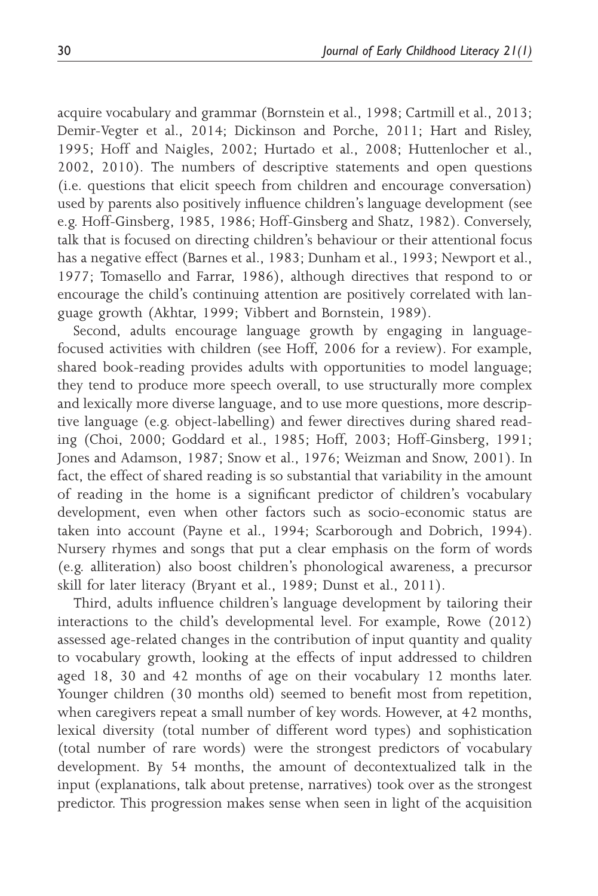acquire vocabulary and grammar (Bornstein et al., 1998; Cartmill et al., 2013; Demir-Vegter et al., 2014; Dickinson and Porche, 2011; Hart and Risley, 1995; Hoff and Naigles, 2002; Hurtado et al., 2008; Huttenlocher et al., 2002, 2010). The numbers of descriptive statements and open questions (i.e. questions that elicit speech from children and encourage conversation) used by parents also positively influence children's language development (see e.g. Hoff-Ginsberg, 1985, 1986; Hoff-Ginsberg and Shatz, 1982). Conversely, talk that is focused on directing children's behaviour or their attentional focus has a negative effect (Barnes et al., 1983; Dunham et al., 1993; Newport et al., 1977; Tomasello and Farrar, 1986), although directives that respond to or encourage the child's continuing attention are positively correlated with language growth (Akhtar, 1999; Vibbert and Bornstein, 1989).

Second, adults encourage language growth by engaging in languagefocused activities with children (see Hoff, 2006 for a review). For example, shared book-reading provides adults with opportunities to model language; they tend to produce more speech overall, to use structurally more complex and lexically more diverse language, and to use more questions, more descriptive language (e.g. object-labelling) and fewer directives during shared reading (Choi, 2000; Goddard et al., 1985; Hoff, 2003; Hoff-Ginsberg, 1991; Jones and Adamson, 1987; Snow et al., 1976; Weizman and Snow, 2001). In fact, the effect of shared reading is so substantial that variability in the amount of reading in the home is a significant predictor of children's vocabulary development, even when other factors such as socio-economic status are taken into account (Payne et al., 1994; Scarborough and Dobrich, 1994). Nursery rhymes and songs that put a clear emphasis on the form of words (e.g. alliteration) also boost children's phonological awareness, a precursor skill for later literacy (Bryant et al., 1989; Dunst et al., 2011).

Third, adults influence children's language development by tailoring their interactions to the child's developmental level. For example, Rowe (2012) assessed age-related changes in the contribution of input quantity and quality to vocabulary growth, looking at the effects of input addressed to children aged 18, 30 and 42 months of age on their vocabulary 12 months later. Younger children (30 months old) seemed to benefit most from repetition, when caregivers repeat a small number of key words. However, at 42 months, lexical diversity (total number of different word types) and sophistication (total number of rare words) were the strongest predictors of vocabulary development. By 54 months, the amount of decontextualized talk in the input (explanations, talk about pretense, narratives) took over as the strongest predictor. This progression makes sense when seen in light of the acquisition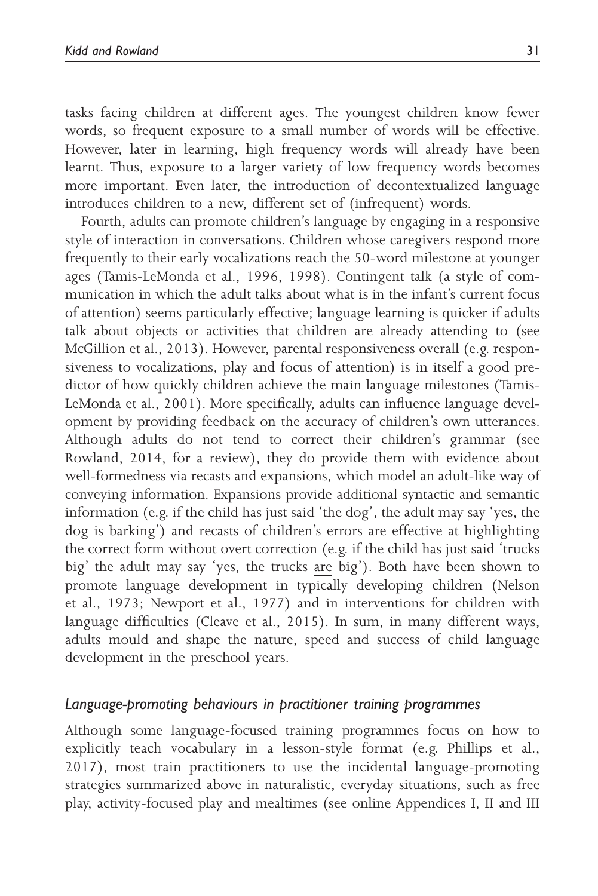tasks facing children at different ages. The youngest children know fewer words, so frequent exposure to a small number of words will be effective. However, later in learning, high frequency words will already have been learnt. Thus, exposure to a larger variety of low frequency words becomes more important. Even later, the introduction of decontextualized language introduces children to a new, different set of (infrequent) words.

Fourth, adults can promote children's language by engaging in a responsive style of interaction in conversations. Children whose caregivers respond more frequently to their early vocalizations reach the 50-word milestone at younger ages (Tamis-LeMonda et al., 1996, 1998). Contingent talk (a style of communication in which the adult talks about what is in the infant's current focus of attention) seems particularly effective; language learning is quicker if adults talk about objects or activities that children are already attending to (see McGillion et al., 2013). However, parental responsiveness overall (e.g. responsiveness to vocalizations, play and focus of attention) is in itself a good predictor of how quickly children achieve the main language milestones (Tamis-LeMonda et al., 2001). More specifically, adults can influence language development by providing feedback on the accuracy of children's own utterances. Although adults do not tend to correct their children's grammar (see Rowland, 2014, for a review), they do provide them with evidence about well-formedness via recasts and expansions, which model an adult-like way of conveying information. Expansions provide additional syntactic and semantic information (e.g. if the child has just said 'the dog', the adult may say 'yes, the dog is barking') and recasts of children's errors are effective at highlighting the correct form without overt correction (e.g. if the child has just said 'trucks big' the adult may say 'yes, the trucks are big'). Both have been shown to promote language development in typically developing children (Nelson et al., 1973; Newport et al., 1977) and in interventions for children with language difficulties (Cleave et al., 2015). In sum, in many different ways, adults mould and shape the nature, speed and success of child language development in the preschool years.

### Language-promoting behaviours in practitioner training programmes

Although some language-focused training programmes focus on how to explicitly teach vocabulary in a lesson-style format (e.g. Phillips et al., 2017), most train practitioners to use the incidental language-promoting strategies summarized above in naturalistic, everyday situations, such as free play, activity-focused play and mealtimes (see online Appendices I, II and III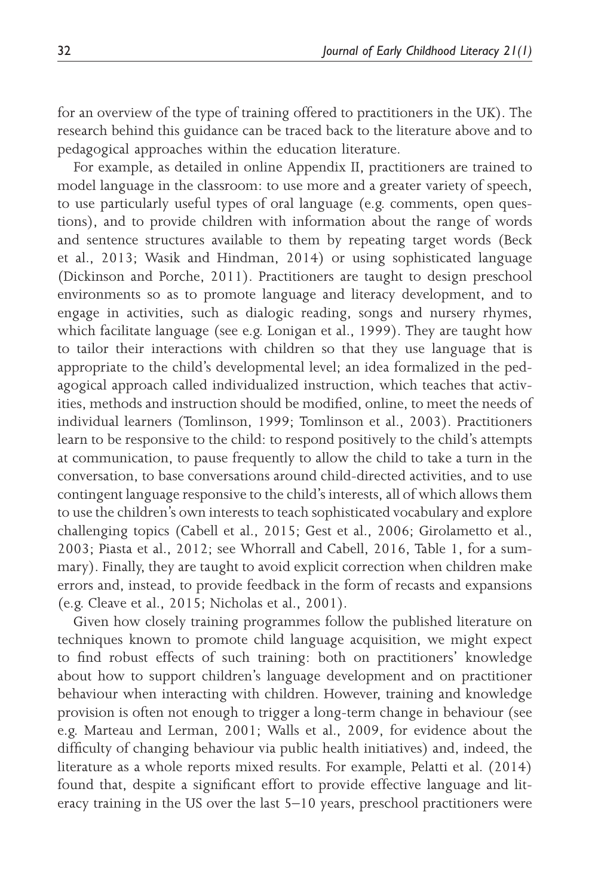for an overview of the type of training offered to practitioners in the UK). The research behind this guidance can be traced back to the literature above and to pedagogical approaches within the education literature.

For example, as detailed in online Appendix II, practitioners are trained to model language in the classroom: to use more and a greater variety of speech, to use particularly useful types of oral language (e.g. comments, open questions), and to provide children with information about the range of words and sentence structures available to them by repeating target words (Beck et al., 2013; Wasik and Hindman, 2014) or using sophisticated language (Dickinson and Porche, 2011). Practitioners are taught to design preschool environments so as to promote language and literacy development, and to engage in activities, such as dialogic reading, songs and nursery rhymes, which facilitate language (see e.g. Lonigan et al., 1999). They are taught how to tailor their interactions with children so that they use language that is appropriate to the child's developmental level; an idea formalized in the pedagogical approach called individualized instruction, which teaches that activities, methods and instruction should be modified, online, to meet the needs of individual learners (Tomlinson, 1999; Tomlinson et al., 2003). Practitioners learn to be responsive to the child: to respond positively to the child's attempts at communication, to pause frequently to allow the child to take a turn in the conversation, to base conversations around child-directed activities, and to use contingent language responsive to the child's interests, all of which allows them to use the children's own interests to teach sophisticated vocabulary and explore challenging topics (Cabell et al., 2015; Gest et al., 2006; Girolametto et al., 2003; Piasta et al., 2012; see Whorrall and Cabell, 2016, Table 1, for a summary). Finally, they are taught to avoid explicit correction when children make errors and, instead, to provide feedback in the form of recasts and expansions (e.g. Cleave et al., 2015; Nicholas et al., 2001).

Given how closely training programmes follow the published literature on techniques known to promote child language acquisition, we might expect to find robust effects of such training: both on practitioners' knowledge about how to support children's language development and on practitioner behaviour when interacting with children. However, training and knowledge provision is often not enough to trigger a long-term change in behaviour (see e.g. Marteau and Lerman, 2001; Walls et al., 2009, for evidence about the difficulty of changing behaviour via public health initiatives) and, indeed, the literature as a whole reports mixed results. For example, Pelatti et al. (2014) found that, despite a significant effort to provide effective language and literacy training in the US over the last 5–10 years, preschool practitioners were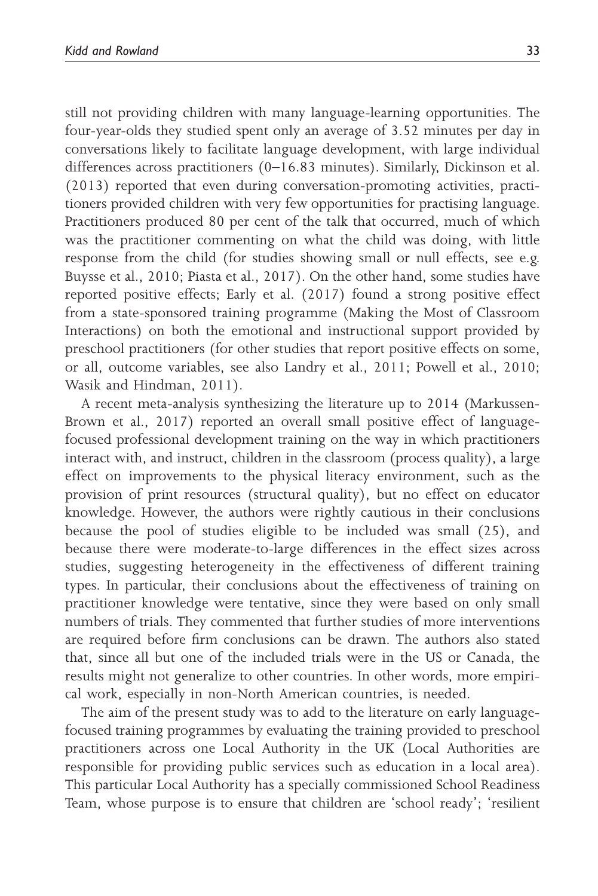still not providing children with many language-learning opportunities. The four-year-olds they studied spent only an average of 3.52 minutes per day in conversations likely to facilitate language development, with large individual differences across practitioners (0–16.83 minutes). Similarly, Dickinson et al. (2013) reported that even during conversation-promoting activities, practitioners provided children with very few opportunities for practising language. Practitioners produced 80 per cent of the talk that occurred, much of which was the practitioner commenting on what the child was doing, with little response from the child (for studies showing small or null effects, see e.g. Buysse et al., 2010; Piasta et al., 2017). On the other hand, some studies have reported positive effects; Early et al. (2017) found a strong positive effect from a state-sponsored training programme (Making the Most of Classroom Interactions) on both the emotional and instructional support provided by preschool practitioners (for other studies that report positive effects on some, or all, outcome variables, see also Landry et al., 2011; Powell et al., 2010; Wasik and Hindman, 2011).

A recent meta-analysis synthesizing the literature up to 2014 (Markussen-Brown et al., 2017) reported an overall small positive effect of languagefocused professional development training on the way in which practitioners interact with, and instruct, children in the classroom (process quality), a large effect on improvements to the physical literacy environment, such as the provision of print resources (structural quality), but no effect on educator knowledge. However, the authors were rightly cautious in their conclusions because the pool of studies eligible to be included was small (25), and because there were moderate-to-large differences in the effect sizes across studies, suggesting heterogeneity in the effectiveness of different training types. In particular, their conclusions about the effectiveness of training on practitioner knowledge were tentative, since they were based on only small numbers of trials. They commented that further studies of more interventions are required before firm conclusions can be drawn. The authors also stated that, since all but one of the included trials were in the US or Canada, the results might not generalize to other countries. In other words, more empirical work, especially in non-North American countries, is needed.

The aim of the present study was to add to the literature on early languagefocused training programmes by evaluating the training provided to preschool practitioners across one Local Authority in the UK (Local Authorities are responsible for providing public services such as education in a local area). This particular Local Authority has a specially commissioned School Readiness Team, whose purpose is to ensure that children are 'school ready'; 'resilient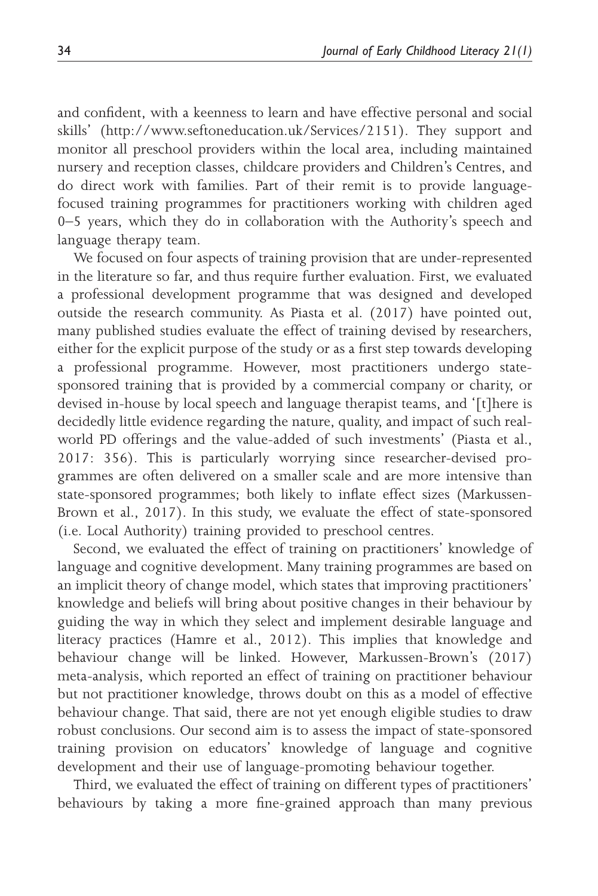and confident, with a keenness to learn and have effective personal and social skills' [\(http://www.seftoneducation.uk/Services/2151](http://www.seftoneducation.uk/Services/2151)). They support and monitor all preschool providers within the local area, including maintained nursery and reception classes, childcare providers and Children's Centres, and do direct work with families. Part of their remit is to provide languagefocused training programmes for practitioners working with children aged 0–5 years, which they do in collaboration with the Authority's speech and language therapy team.

We focused on four aspects of training provision that are under-represented in the literature so far, and thus require further evaluation. First, we evaluated a professional development programme that was designed and developed outside the research community. As Piasta et al. (2017) have pointed out, many published studies evaluate the effect of training devised by researchers, either for the explicit purpose of the study or as a first step towards developing a professional programme. However, most practitioners undergo statesponsored training that is provided by a commercial company or charity, or devised in-house by local speech and language therapist teams, and '[t]here is decidedly little evidence regarding the nature, quality, and impact of such realworld PD offerings and the value-added of such investments' (Piasta et al., 2017: 356). This is particularly worrying since researcher-devised programmes are often delivered on a smaller scale and are more intensive than state-sponsored programmes; both likely to inflate effect sizes (Markussen-Brown et al., 2017). In this study, we evaluate the effect of state-sponsored (i.e. Local Authority) training provided to preschool centres.

Second, we evaluated the effect of training on practitioners' knowledge of language and cognitive development. Many training programmes are based on an implicit theory of change model, which states that improving practitioners' knowledge and beliefs will bring about positive changes in their behaviour by guiding the way in which they select and implement desirable language and literacy practices (Hamre et al., 2012). This implies that knowledge and behaviour change will be linked. However, Markussen-Brown's (2017) meta-analysis, which reported an effect of training on practitioner behaviour but not practitioner knowledge, throws doubt on this as a model of effective behaviour change. That said, there are not yet enough eligible studies to draw robust conclusions. Our second aim is to assess the impact of state-sponsored training provision on educators' knowledge of language and cognitive development and their use of language-promoting behaviour together.

Third, we evaluated the effect of training on different types of practitioners' behaviours by taking a more fine-grained approach than many previous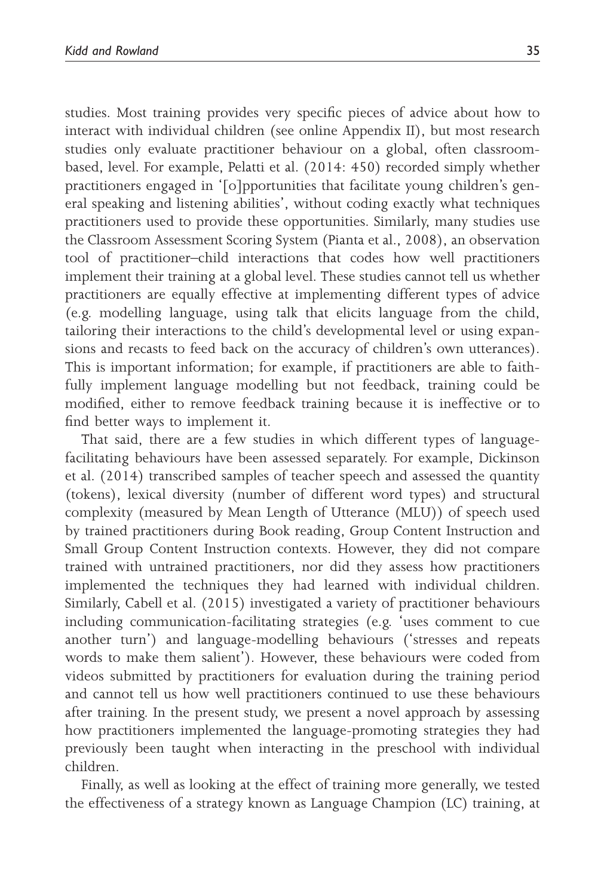studies. Most training provides very specific pieces of advice about how to interact with individual children (see online Appendix II), but most research studies only evaluate practitioner behaviour on a global, often classroombased, level. For example, Pelatti et al. (2014: 450) recorded simply whether practitioners engaged in '[o]pportunities that facilitate young children's general speaking and listening abilities', without coding exactly what techniques practitioners used to provide these opportunities. Similarly, many studies use the Classroom Assessment Scoring System (Pianta et al., 2008), an observation tool of practitioner–child interactions that codes how well practitioners implement their training at a global level. These studies cannot tell us whether practitioners are equally effective at implementing different types of advice (e.g. modelling language, using talk that elicits language from the child, tailoring their interactions to the child's developmental level or using expansions and recasts to feed back on the accuracy of children's own utterances). This is important information; for example, if practitioners are able to faithfully implement language modelling but not feedback, training could be modified, either to remove feedback training because it is ineffective or to find better ways to implement it.

That said, there are a few studies in which different types of languagefacilitating behaviours have been assessed separately. For example, Dickinson et al. (2014) transcribed samples of teacher speech and assessed the quantity (tokens), lexical diversity (number of different word types) and structural complexity (measured by Mean Length of Utterance (MLU)) of speech used by trained practitioners during Book reading, Group Content Instruction and Small Group Content Instruction contexts. However, they did not compare trained with untrained practitioners, nor did they assess how practitioners implemented the techniques they had learned with individual children. Similarly, Cabell et al. (2015) investigated a variety of practitioner behaviours including communication-facilitating strategies (e.g. 'uses comment to cue another turn') and language-modelling behaviours ('stresses and repeats words to make them salient'). However, these behaviours were coded from videos submitted by practitioners for evaluation during the training period and cannot tell us how well practitioners continued to use these behaviours after training. In the present study, we present a novel approach by assessing how practitioners implemented the language-promoting strategies they had previously been taught when interacting in the preschool with individual children.

Finally, as well as looking at the effect of training more generally, we tested the effectiveness of a strategy known as Language Champion (LC) training, at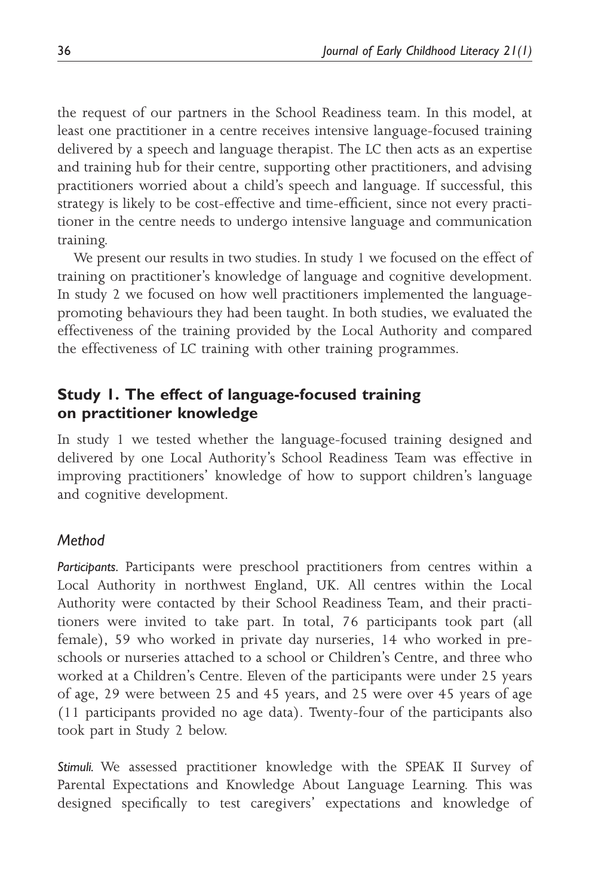the request of our partners in the School Readiness team. In this model, at least one practitioner in a centre receives intensive language-focused training delivered by a speech and language therapist. The LC then acts as an expertise and training hub for their centre, supporting other practitioners, and advising practitioners worried about a child's speech and language. If successful, this strategy is likely to be cost-effective and time-efficient, since not every practitioner in the centre needs to undergo intensive language and communication training.

We present our results in two studies. In study 1 we focused on the effect of training on practitioner's knowledge of language and cognitive development. In study 2 we focused on how well practitioners implemented the languagepromoting behaviours they had been taught. In both studies, we evaluated the effectiveness of the training provided by the Local Authority and compared the effectiveness of LC training with other training programmes.

## Study 1. The effect of language-focused training on practitioner knowledge

In study 1 we tested whether the language-focused training designed and delivered by one Local Authority's School Readiness Team was effective in improving practitioners' knowledge of how to support children's language and cognitive development.

# Method

Participants. Participants were preschool practitioners from centres within a Local Authority in northwest England, UK. All centres within the Local Authority were contacted by their School Readiness Team, and their practitioners were invited to take part. In total, 76 participants took part (all female), 59 who worked in private day nurseries, 14 who worked in preschools or nurseries attached to a school or Children's Centre, and three who worked at a Children's Centre. Eleven of the participants were under 25 years of age, 29 were between 25 and 45 years, and 25 were over 45 years of age (11 participants provided no age data). Twenty-four of the participants also took part in Study 2 below.

Stimuli. We assessed practitioner knowledge with the SPEAK II Survey of Parental Expectations and Knowledge About Language Learning. This was designed specifically to test caregivers' expectations and knowledge of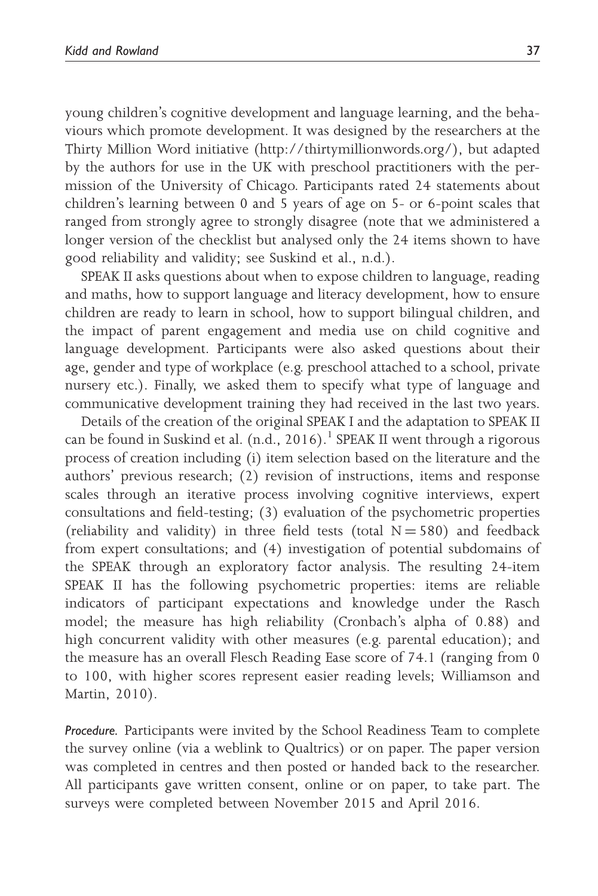young children's cognitive development and language learning, and the behaviours which promote development. It was designed by the researchers at the Thirty Million Word initiative [\(http://thirtymillionwords.org/\)](http://thirtymillionwords.org/), but adapted by the authors for use in the UK with preschool practitioners with the permission of the University of Chicago. Participants rated 24 statements about children's learning between 0 and 5 years of age on 5- or 6-point scales that ranged from strongly agree to strongly disagree (note that we administered a longer version of the checklist but analysed only the 24 items shown to have good reliability and validity; see Suskind et al., n.d.).

SPEAK II asks questions about when to expose children to language, reading and maths, how to support language and literacy development, how to ensure children are ready to learn in school, how to support bilingual children, and the impact of parent engagement and media use on child cognitive and language development. Participants were also asked questions about their age, gender and type of workplace (e.g. preschool attached to a school, private nursery etc.). Finally, we asked them to specify what type of language and communicative development training they had received in the last two years.

Details of the creation of the original SPEAK I and the adaptation to SPEAK II can be found in Suskind et al.  $(n.d., 2016).$ <sup>1</sup> SPEAK II went through a rigorous process of creation including (i) item selection based on the literature and the authors' previous research; (2) revision of instructions, items and response scales through an iterative process involving cognitive interviews, expert consultations and field-testing; (3) evaluation of the psychometric properties (reliability and validity) in three field tests (total  $N = 580$ ) and feedback from expert consultations; and (4) investigation of potential subdomains of the SPEAK through an exploratory factor analysis. The resulting 24-item SPEAK II has the following psychometric properties: items are reliable indicators of participant expectations and knowledge under the Rasch model; the measure has high reliability (Cronbach's alpha of 0.88) and high concurrent validity with other measures (e.g. parental education); and the measure has an overall Flesch Reading Ease score of 74.1 (ranging from 0 to 100, with higher scores represent easier reading levels; Williamson and Martin, 2010).

Procedure. Participants were invited by the School Readiness Team to complete the survey online (via a weblink to Qualtrics) or on paper. The paper version was completed in centres and then posted or handed back to the researcher. All participants gave written consent, online or on paper, to take part. The surveys were completed between November 2015 and April 2016.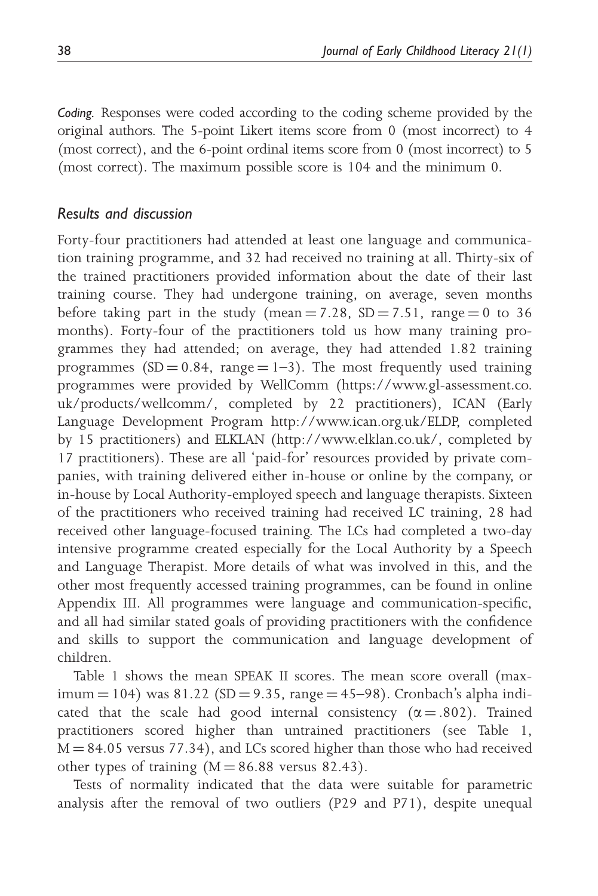Coding. Responses were coded according to the coding scheme provided by the original authors. The 5-point Likert items score from 0 (most incorrect) to 4 (most correct), and the 6-point ordinal items score from 0 (most incorrect) to 5 (most correct). The maximum possible score is 104 and the minimum 0.

## Results and discussion

Forty-four practitioners had attended at least one language and communication training programme, and 32 had received no training at all. Thirty-six of the trained practitioners provided information about the date of their last training course. They had undergone training, on average, seven months before taking part in the study (mean  $= 7.28$ , SD  $= 7.51$ , range  $= 0$  to 36 months). Forty-four of the practitioners told us how many training programmes they had attended; on average, they had attended 1.82 training programmes (SD  $= 0.84$ , range  $= 1-3$ ). The most frequently used training programmes were provided by WellComm ([https://www.gl-assessment.co.](https://www.gl-assessment.co.uk/products/wellcomm/) [uk/products/wellcomm/](https://www.gl-assessment.co.uk/products/wellcomm/), completed by 22 practitioners), ICAN (Early Language Development Program [http://www.ican.org.uk/ELDP,](http://www.ican.org.uk/ELDP) completed by 15 practitioners) and ELKLAN (<http://www.elklan.co.uk/>, completed by 17 practitioners). These are all 'paid-for' resources provided by private companies, with training delivered either in-house or online by the company, or in-house by Local Authority-employed speech and language therapists. Sixteen of the practitioners who received training had received LC training, 28 had received other language-focused training. The LCs had completed a two-day intensive programme created especially for the Local Authority by a Speech and Language Therapist. More details of what was involved in this, and the other most frequently accessed training programmes, can be found in online Appendix III. All programmes were language and communication-specific, and all had similar stated goals of providing practitioners with the confidence and skills to support the communication and language development of children.

Table 1 shows the mean SPEAK II scores. The mean score overall (maximum  $= 104$ ) was 81.22 (SD  $= 9.35$ , range  $= 45-98$ ). Cronbach's alpha indicated that the scale had good internal consistency  $(\alpha = .802)$ . Trained practitioners scored higher than untrained practitioners (see Table 1,  $M = 84.05$  versus 77.34), and LCs scored higher than those who had received other types of training  $(M = 86.88$  versus 82.43).

Tests of normality indicated that the data were suitable for parametric analysis after the removal of two outliers (P29 and P71), despite unequal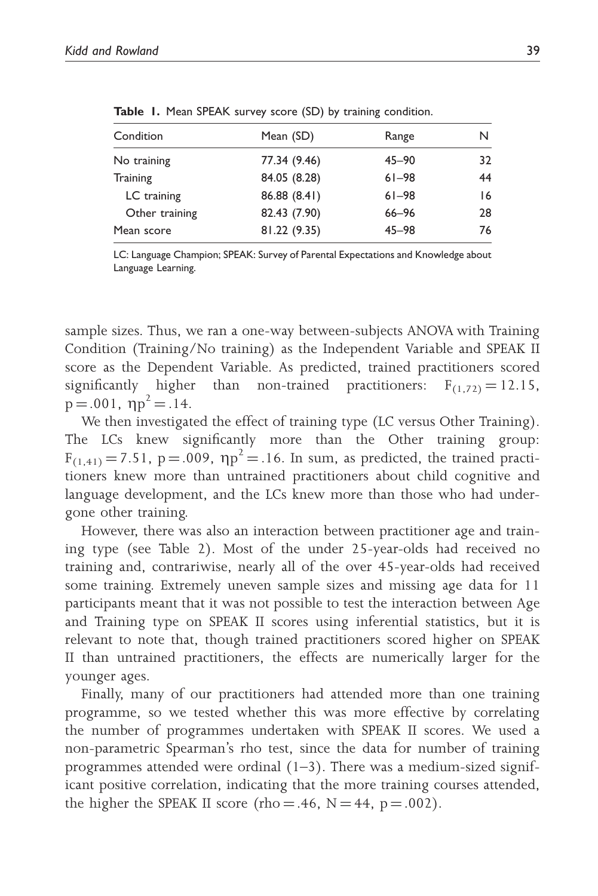| Condition       | Mean (SD)    | Range     | N  |  |
|-----------------|--------------|-----------|----|--|
| No training     | 77.34 (9.46) | $45 - 90$ | 32 |  |
| <b>Training</b> | 84.05 (8.28) | $61 - 98$ | 44 |  |
| LC training     | 86.88 (8.41) | $61 - 98$ | 16 |  |
| Other training  | 82.43 (7.90) | $66 - 96$ | 28 |  |
| Mean score      | 81.22 (9.35) | $45 - 98$ | 76 |  |

Table 1. Mean SPEAK survey score (SD) by training condition.

LC: Language Champion; SPEAK: Survey of Parental Expectations and Knowledge about Language Learning.

sample sizes. Thus, we ran a one-way between-subjects ANOVA with Training Condition (Training/No training) as the Independent Variable and SPEAK II score as the Dependent Variable. As predicted, trained practitioners scored significantly higher than non-trained practitioners:  $F_{(1,72)} = 12.15$ ,  $p = .001, \eta p^2 = .14.$ 

We then investigated the effect of training type (LC versus Other Training). The LCs knew significantly more than the Other training group:  $F_{(1,41)} = 7.51$ , p = .009,  $np^2 = .16$ . In sum, as predicted, the trained practitioners knew more than untrained practitioners about child cognitive and language development, and the LCs knew more than those who had undergone other training.

However, there was also an interaction between practitioner age and training type (see Table 2). Most of the under 25-year-olds had received no training and, contrariwise, nearly all of the over 45-year-olds had received some training. Extremely uneven sample sizes and missing age data for 11 participants meant that it was not possible to test the interaction between Age and Training type on SPEAK II scores using inferential statistics, but it is relevant to note that, though trained practitioners scored higher on SPEAK II than untrained practitioners, the effects are numerically larger for the younger ages.

Finally, many of our practitioners had attended more than one training programme, so we tested whether this was more effective by correlating the number of programmes undertaken with SPEAK II scores. We used a non-parametric Spearman's rho test, since the data for number of training programmes attended were ordinal  $(1-3)$ . There was a medium-sized significant positive correlation, indicating that the more training courses attended, the higher the SPEAK II score (rho  $= .46$ ,  $N = 44$ ,  $p = .002$ ).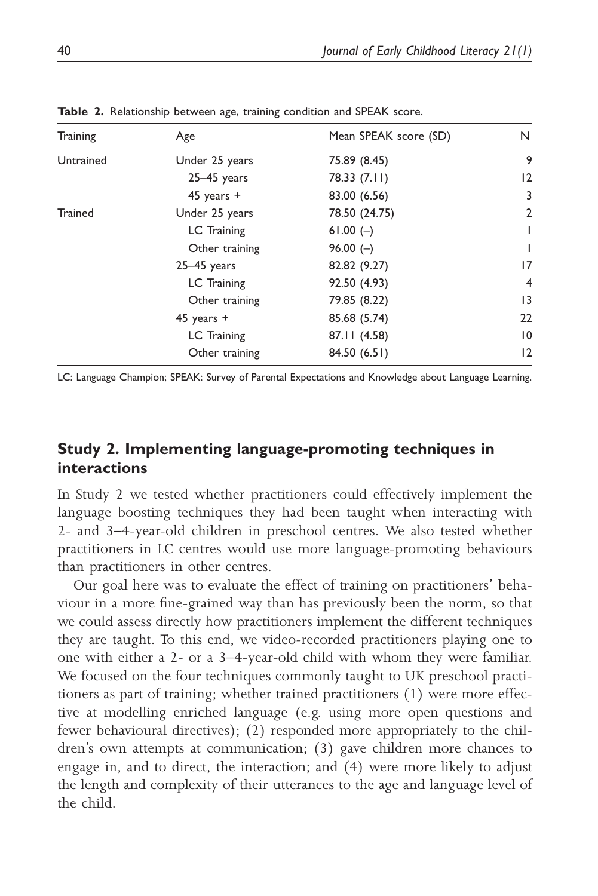| <b>Training</b> | Age            | Mean SPEAK score (SD) | N              |
|-----------------|----------------|-----------------------|----------------|
| Untrained       | Under 25 years | 75.89 (8.45)          | 9              |
|                 | 25-45 years    | 78.33 (7.11)          | 12             |
|                 | 45 years $+$   | 83.00 (6.56)          | 3              |
| <b>Trained</b>  | Under 25 years | 78.50 (24.75)         | $\overline{2}$ |
|                 | LC Training    | $61.00(-)$            | L              |
|                 | Other training | $96.00 (-)$           |                |
|                 | $25-45$ years  | 82.82 (9.27)          | 17             |
|                 | LC Training    | 92.50 (4.93)          | $\overline{4}$ |
|                 | Other training | 79.85 (8.22)          | 3              |
|                 | 45 years $+$   | 85.68 (5.74)          | 22             |
|                 | LC Training    | 87.11 (4.58)          | 10             |
|                 | Other training | 84.50 (6.51)          | 12             |

Table 2. Relationship between age, training condition and SPEAK score.

LC: Language Champion; SPEAK: Survey of Parental Expectations and Knowledge about Language Learning.

## Study 2. Implementing language-promoting techniques in interactions

In Study 2 we tested whether practitioners could effectively implement the language boosting techniques they had been taught when interacting with 2- and 3–4-year-old children in preschool centres. We also tested whether practitioners in LC centres would use more language-promoting behaviours than practitioners in other centres.

Our goal here was to evaluate the effect of training on practitioners' behaviour in a more fine-grained way than has previously been the norm, so that we could assess directly how practitioners implement the different techniques they are taught. To this end, we video-recorded practitioners playing one to one with either a 2- or a 3–4-year-old child with whom they were familiar. We focused on the four techniques commonly taught to UK preschool practitioners as part of training; whether trained practitioners (1) were more effective at modelling enriched language (e.g. using more open questions and fewer behavioural directives); (2) responded more appropriately to the children's own attempts at communication; (3) gave children more chances to engage in, and to direct, the interaction; and (4) were more likely to adjust the length and complexity of their utterances to the age and language level of the child.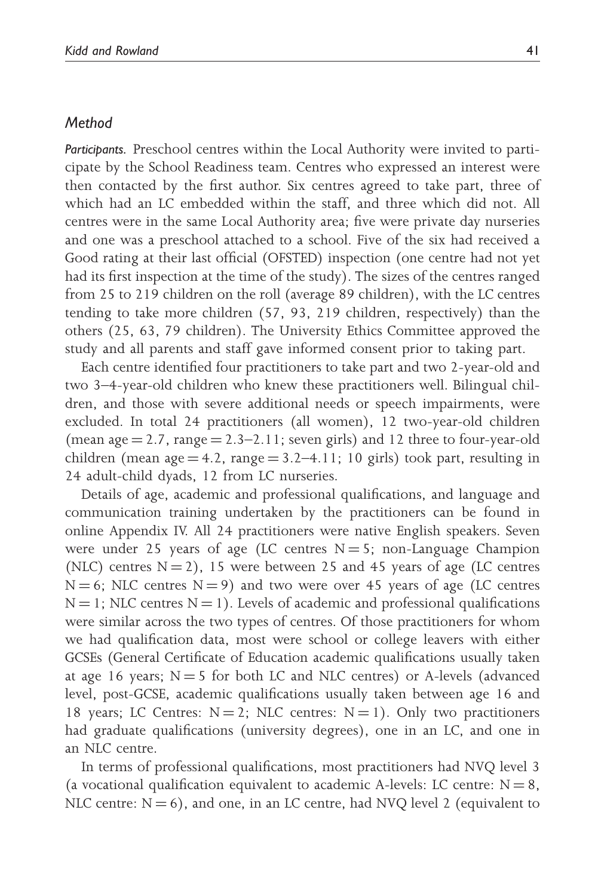#### Method

Participants. Preschool centres within the Local Authority were invited to participate by the School Readiness team. Centres who expressed an interest were then contacted by the first author. Six centres agreed to take part, three of which had an LC embedded within the staff, and three which did not. All centres were in the same Local Authority area; five were private day nurseries and one was a preschool attached to a school. Five of the six had received a Good rating at their last official (OFSTED) inspection (one centre had not yet had its first inspection at the time of the study). The sizes of the centres ranged from 25 to 219 children on the roll (average 89 children), with the LC centres tending to take more children (57, 93, 219 children, respectively) than the others (25, 63, 79 children). The University Ethics Committee approved the study and all parents and staff gave informed consent prior to taking part.

Each centre identified four practitioners to take part and two 2-year-old and two 3–4-year-old children who knew these practitioners well. Bilingual children, and those with severe additional needs or speech impairments, were excluded. In total 24 practitioners (all women), 12 two-year-old children (mean age  $= 2.7$ , range  $= 2.3-2.11$ ; seven girls) and 12 three to four-year-old children (mean age  $= 4.2$ , range  $= 3.2 - 4.11$ ; 10 girls) took part, resulting in 24 adult-child dyads, 12 from LC nurseries.

Details of age, academic and professional qualifications, and language and communication training undertaken by the practitioners can be found in online Appendix IV. All 24 practitioners were native English speakers. Seven were under 25 years of age (LC centres  $N = 5$ ; non-Language Champion (NLC) centres  $N = 2$ ), 15 were between 25 and 45 years of age (LC centres  $N = 6$ ; NLC centres  $N = 9$ ) and two were over 45 years of age (LC centres  $N = 1$ ; NLC centres  $N = 1$ ). Levels of academic and professional qualifications were similar across the two types of centres. Of those practitioners for whom we had qualification data, most were school or college leavers with either GCSEs (General Certificate of Education academic qualifications usually taken at age 16 years;  $N = 5$  for both LC and NLC centres) or A-levels (advanced level, post-GCSE, academic qualifications usually taken between age 16 and 18 years; LC Centres:  $N = 2$ ; NLC centres:  $N = 1$ ). Only two practitioners had graduate qualifications (university degrees), one in an LC, and one in an NLC centre.

In terms of professional qualifications, most practitioners had NVQ level 3 (a vocational qualification equivalent to academic A-levels: LC centre:  $N = 8$ , NLC centre:  $N = 6$ ), and one, in an LC centre, had NVQ level 2 (equivalent to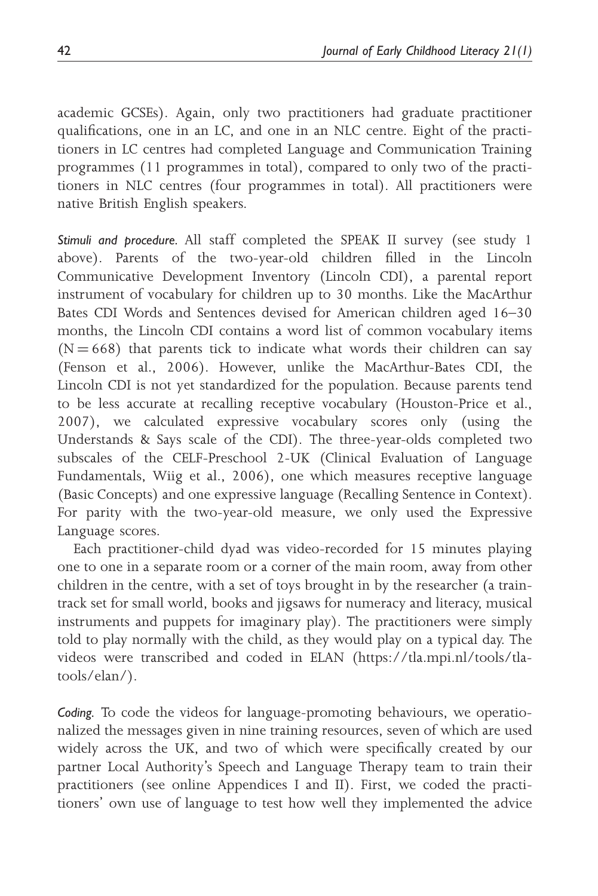academic GCSEs). Again, only two practitioners had graduate practitioner qualifications, one in an LC, and one in an NLC centre. Eight of the practitioners in LC centres had completed Language and Communication Training programmes (11 programmes in total), compared to only two of the practitioners in NLC centres (four programmes in total). All practitioners were native British English speakers.

Stimuli and procedure. All staff completed the SPEAK II survey (see study 1 above). Parents of the two-year-old children filled in the Lincoln Communicative Development Inventory (Lincoln CDI), a parental report instrument of vocabulary for children up to 30 months. Like the MacArthur Bates CDI Words and Sentences devised for American children aged 16–30 months, the Lincoln CDI contains a word list of common vocabulary items  $(N = 668)$  that parents tick to indicate what words their children can say (Fenson et al., 2006). However, unlike the MacArthur-Bates CDI, the Lincoln CDI is not yet standardized for the population. Because parents tend to be less accurate at recalling receptive vocabulary (Houston-Price et al., 2007), we calculated expressive vocabulary scores only (using the Understands & Says scale of the CDI). The three-year-olds completed two subscales of the CELF-Preschool 2-UK (Clinical Evaluation of Language Fundamentals, Wiig et al., 2006), one which measures receptive language (Basic Concepts) and one expressive language (Recalling Sentence in Context). For parity with the two-year-old measure, we only used the Expressive Language scores.

Each practitioner-child dyad was video-recorded for 15 minutes playing one to one in a separate room or a corner of the main room, away from other children in the centre, with a set of toys brought in by the researcher (a traintrack set for small world, books and jigsaws for numeracy and literacy, musical instruments and puppets for imaginary play). The practitioners were simply told to play normally with the child, as they would play on a typical day. The videos were transcribed and coded in ELAN [\(https://tla.mpi.nl/tools/tla](https://tla.mpi.nl/tools/tla-tools/elan/)[tools/elan/](https://tla.mpi.nl/tools/tla-tools/elan/)).

Coding. To code the videos for language-promoting behaviours, we operationalized the messages given in nine training resources, seven of which are used widely across the UK, and two of which were specifically created by our partner Local Authority's Speech and Language Therapy team to train their practitioners (see online Appendices I and II). First, we coded the practitioners' own use of language to test how well they implemented the advice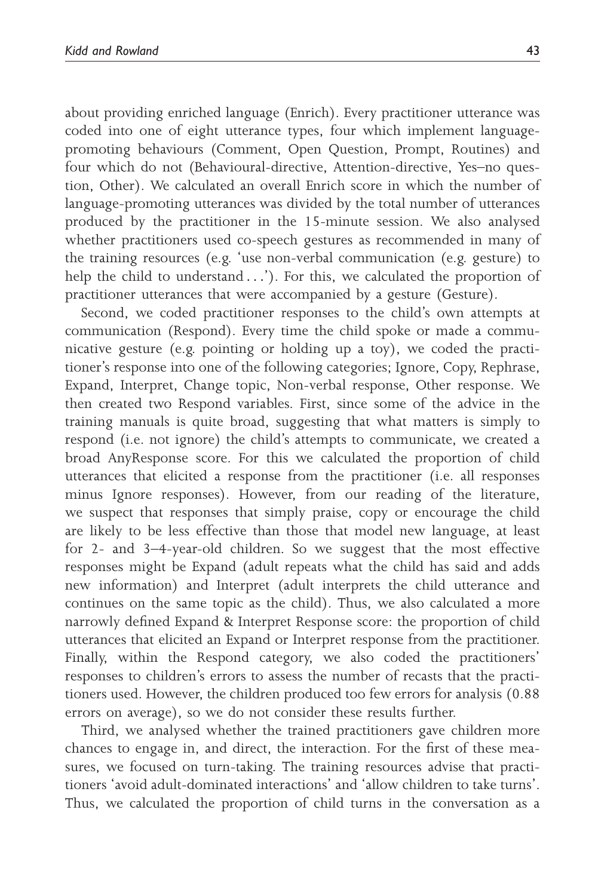about providing enriched language (Enrich). Every practitioner utterance was coded into one of eight utterance types, four which implement languagepromoting behaviours (Comment, Open Question, Prompt, Routines) and four which do not (Behavioural-directive, Attention-directive, Yes–no question, Other). We calculated an overall Enrich score in which the number of language-promoting utterances was divided by the total number of utterances produced by the practitioner in the 15-minute session. We also analysed whether practitioners used co-speech gestures as recommended in many of the training resources (e.g. 'use non-verbal communication (e.g. gesture) to help the child to understand ...'). For this, we calculated the proportion of practitioner utterances that were accompanied by a gesture (Gesture).

Second, we coded practitioner responses to the child's own attempts at communication (Respond). Every time the child spoke or made a communicative gesture (e.g. pointing or holding up a toy), we coded the practitioner's response into one of the following categories; Ignore, Copy, Rephrase, Expand, Interpret, Change topic, Non-verbal response, Other response. We then created two Respond variables. First, since some of the advice in the training manuals is quite broad, suggesting that what matters is simply to respond (i.e. not ignore) the child's attempts to communicate, we created a broad AnyResponse score. For this we calculated the proportion of child utterances that elicited a response from the practitioner (i.e. all responses minus Ignore responses). However, from our reading of the literature, we suspect that responses that simply praise, copy or encourage the child are likely to be less effective than those that model new language, at least for 2- and 3–4-year-old children. So we suggest that the most effective responses might be Expand (adult repeats what the child has said and adds new information) and Interpret (adult interprets the child utterance and continues on the same topic as the child). Thus, we also calculated a more narrowly defined Expand & Interpret Response score: the proportion of child utterances that elicited an Expand or Interpret response from the practitioner. Finally, within the Respond category, we also coded the practitioners' responses to children's errors to assess the number of recasts that the practitioners used. However, the children produced too few errors for analysis (0.88 errors on average), so we do not consider these results further.

Third, we analysed whether the trained practitioners gave children more chances to engage in, and direct, the interaction. For the first of these measures, we focused on turn-taking. The training resources advise that practitioners 'avoid adult-dominated interactions' and 'allow children to take turns'. Thus, we calculated the proportion of child turns in the conversation as a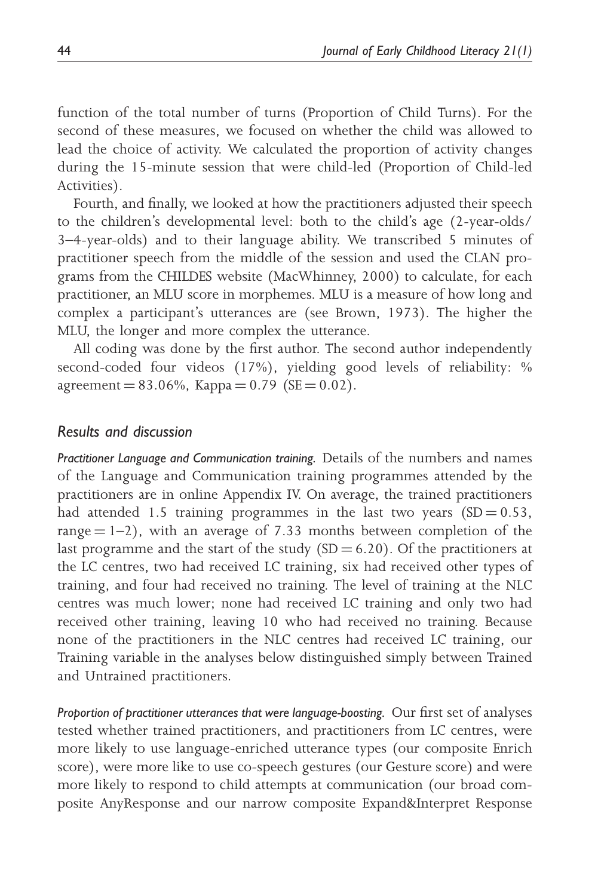function of the total number of turns (Proportion of Child Turns). For the second of these measures, we focused on whether the child was allowed to lead the choice of activity. We calculated the proportion of activity changes during the 15-minute session that were child-led (Proportion of Child-led Activities).

Fourth, and finally, we looked at how the practitioners adjusted their speech to the children's developmental level: both to the child's age (2-year-olds/ 3–4-year-olds) and to their language ability. We transcribed 5 minutes of practitioner speech from the middle of the session and used the CLAN programs from the CHILDES website (MacWhinney, 2000) to calculate, for each practitioner, an MLU score in morphemes. MLU is a measure of how long and complex a participant's utterances are (see Brown, 1973). The higher the MLU, the longer and more complex the utterance.

All coding was done by the first author. The second author independently second-coded four videos (17%), yielding good levels of reliability: %  $agreement = 83.06\%, Kappa = 0.79$  (SE = 0.02).

### Results and discussion

Practitioner Language and Communication training. Details of the numbers and names of the Language and Communication training programmes attended by the practitioners are in online Appendix IV. On average, the trained practitioners had attended 1.5 training programmes in the last two years  $(SD = 0.53,$ range  $= 1-2$ ), with an average of 7.33 months between completion of the last programme and the start of the study  $(SD = 6.20)$ . Of the practitioners at the LC centres, two had received LC training, six had received other types of training, and four had received no training. The level of training at the NLC centres was much lower; none had received LC training and only two had received other training, leaving 10 who had received no training. Because none of the practitioners in the NLC centres had received LC training, our Training variable in the analyses below distinguished simply between Trained and Untrained practitioners.

Proportion of practitioner utterances that were language-boosting. Our first set of analyses tested whether trained practitioners, and practitioners from LC centres, were more likely to use language-enriched utterance types (our composite Enrich score), were more like to use co-speech gestures (our Gesture score) and were more likely to respond to child attempts at communication (our broad composite AnyResponse and our narrow composite Expand&Interpret Response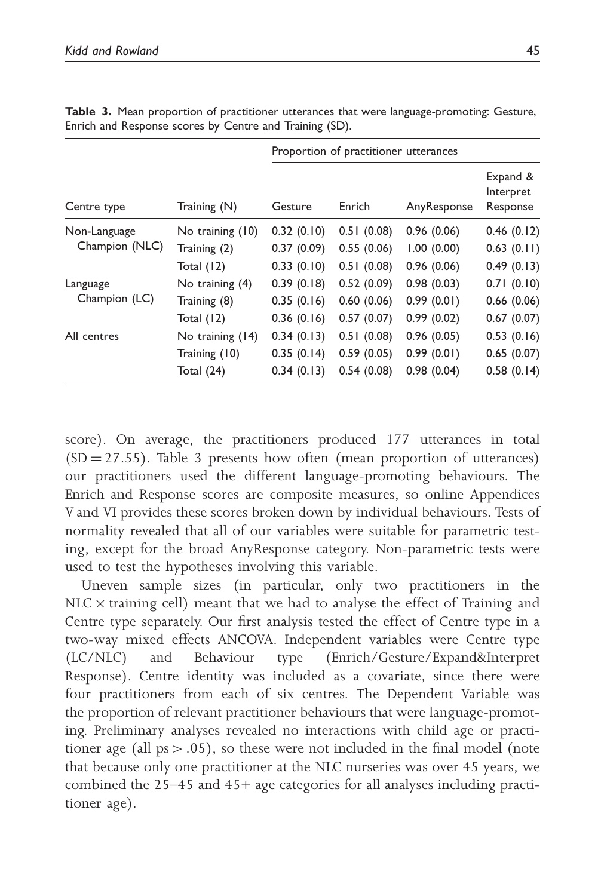|                                |                    | Proportion of practitioner utterances |            |             |                                   |
|--------------------------------|--------------------|---------------------------------------|------------|-------------|-----------------------------------|
| Centre type                    | Training (N)       | Gesture                               | Enrich     | AnyResponse | Expand &<br>Interpret<br>Response |
| Non-Language<br>Champion (NLC) | No training $(10)$ | 0.32(0.10)                            | 0.51(0.08) | 0.96(0.06)  | 0.46(0.12)                        |
|                                | Training (2)       | 0.37(0.09)                            | 0.55(0.06) | 1.00(0.00)  | 0.63(0.11)                        |
|                                | Total $(12)$       | 0.33(0.10)                            | 0.51(0.08) | 0.96(0.06)  | 0.49(0.13)                        |
| Language<br>Champion (LC)      | No training (4)    | 0.39(0.18)                            | 0.52(0.09) | 0.98(0.03)  | 0.71(0.10)                        |
|                                | Training (8)       | 0.35(0.16)                            | 0.60(0.06) | 0.99(0.01)  | 0.66(0.06)                        |
|                                | Total $(12)$       | 0.36(0.16)                            | 0.57(0.07) | 0.99(0.02)  | 0.67(0.07)                        |
| All centres                    | No training (14)   | 0.34(0.13)                            | 0.51(0.08) | 0.96(0.05)  | 0.53(0.16)                        |
|                                | Training (10)      | 0.35(0.14)                            | 0.59(0.05) | 0.99(0.01)  | 0.65(0.07)                        |
|                                | Total (24)         | 0.34(0.13)                            | 0.54(0.08) | 0.98(0.04)  | 0.58(0.14)                        |

Table 3. Mean proportion of practitioner utterances that were language-promoting: Gesture, Enrich and Response scores by Centre and Training (SD).

score). On average, the practitioners produced 177 utterances in total  $(SD = 27.55)$ . Table 3 presents how often (mean proportion of utterances) our practitioners used the different language-promoting behaviours. The Enrich and Response scores are composite measures, so online Appendices V and VI provides these scores broken down by individual behaviours. Tests of normality revealed that all of our variables were suitable for parametric testing, except for the broad AnyResponse category. Non-parametric tests were used to test the hypotheses involving this variable.

Uneven sample sizes (in particular, only two practitioners in the  $NLC \times$  training cell) meant that we had to analyse the effect of Training and Centre type separately. Our first analysis tested the effect of Centre type in a two-way mixed effects ANCOVA. Independent variables were Centre type (LC/NLC) and Behaviour type (Enrich/Gesture/Expand&Interpret Response). Centre identity was included as a covariate, since there were four practitioners from each of six centres. The Dependent Variable was the proportion of relevant practitioner behaviours that were language-promoting. Preliminary analyses revealed no interactions with child age or practitioner age (all  $ps > .05$ ), so these were not included in the final model (note that because only one practitioner at the NLC nurseries was over 45 years, we combined the 25–45 and 45+ age categories for all analyses including practitioner age).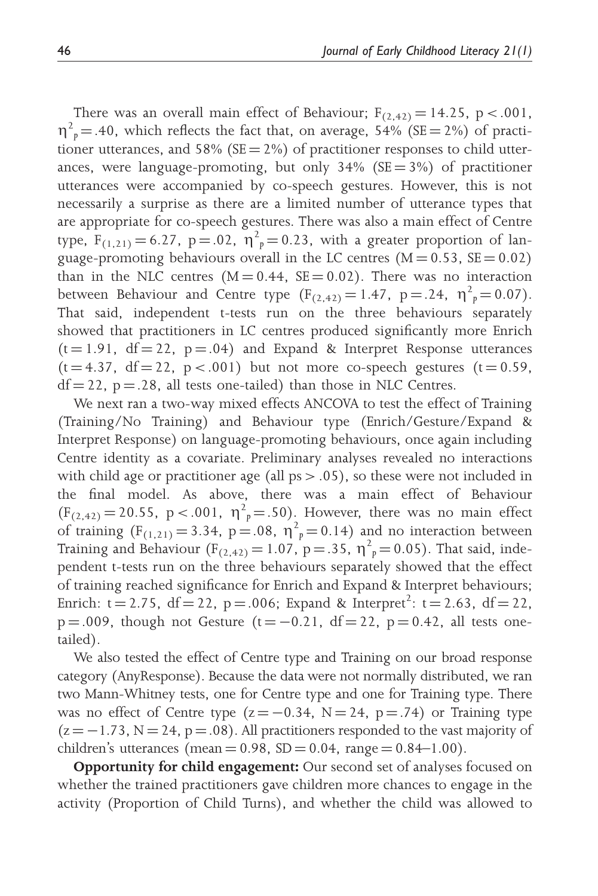There was an overall main effect of Behaviour;  $F_{(2,42)} = 14.25$ , p < .001,  $\eta^2$ <sub>p</sub> = .40, which reflects the fact that, on average, 54% (SE = 2%) of practitioner utterances, and  $58\%$  (SE = 2%) of practitioner responses to child utterances, were language-promoting, but only  $34\%$  (SE = 3%) of practitioner utterances were accompanied by co-speech gestures. However, this is not necessarily a surprise as there are a limited number of utterance types that are appropriate for co-speech gestures. There was also a main effect of Centre type,  $F_{(1,21)} = 6.27$ ,  $p = .02$ ,  $\eta^2_p = 0.23$ , with a greater proportion of language-promoting behaviours overall in the LC centres  $(M = 0.53, SE = 0.02)$ than in the NLC centres  $(M = 0.44, SE = 0.02)$ . There was no interaction between Behaviour and Centre type  $(F_{(2,42)} = 1.47, p = .24, \eta^2_{p} = 0.07)$ . That said, independent t-tests run on the three behaviours separately showed that practitioners in LC centres produced significantly more Enrich  $(t = 1.91, df = 22, p = .04)$  and Expand & Interpret Response utterances  $(t=4.37, df=22, p<0.01)$  but not more co-speech gestures  $(t=0.59,$  $df = 22$ ,  $p = .28$ , all tests one-tailed) than those in NLC Centres.

We next ran a two-way mixed effects ANCOVA to test the effect of Training (Training/No Training) and Behaviour type (Enrich/Gesture/Expand & Interpret Response) on language-promoting behaviours, once again including Centre identity as a covariate. Preliminary analyses revealed no interactions with child age or practitioner age (all  $ps > .05$ ), so these were not included in the final model. As above, there was a main effect of Behaviour  $(F_{(2,42)} = 20.55, p < .001, \eta^2_p = .50)$ . However, there was no main effect of training  $(F_{(1,21)} = 3.34, p = .08, \eta^2_p = 0.14)$  and no interaction between Training and Behaviour ( $F_{(2,42)} = 1.07$ ,  $p = .35$ ,  $\eta^2$ <sub>p</sub> = 0.05). That said, independent t-tests run on the three behaviours separately showed that the effect of training reached significance for Enrich and Expand & Interpret behaviours; Enrich:  $t = 2.75$ , df = 22, p = .006; Expand & Interpret<sup>2</sup>:  $t = 2.63$ , df = 22,  $p = .009$ , though not Gesture (t = -0.21, df = 22, p = 0.42, all tests onetailed).

We also tested the effect of Centre type and Training on our broad response category (AnyResponse). Because the data were not normally distributed, we ran two Mann-Whitney tests, one for Centre type and one for Training type. There was no effect of Centre type  $(z=-0.34, N=24, p=.74)$  or Training type  $(z = -1.73, N = 24, p = .08)$ . All practitioners responded to the vast majority of children's utterances (mean =  $0.98$ , SD =  $0.04$ , range =  $0.84-1.00$ ).

**Opportunity for child engagement:** Our second set of analyses focused on whether the trained practitioners gave children more chances to engage in the activity (Proportion of Child Turns), and whether the child was allowed to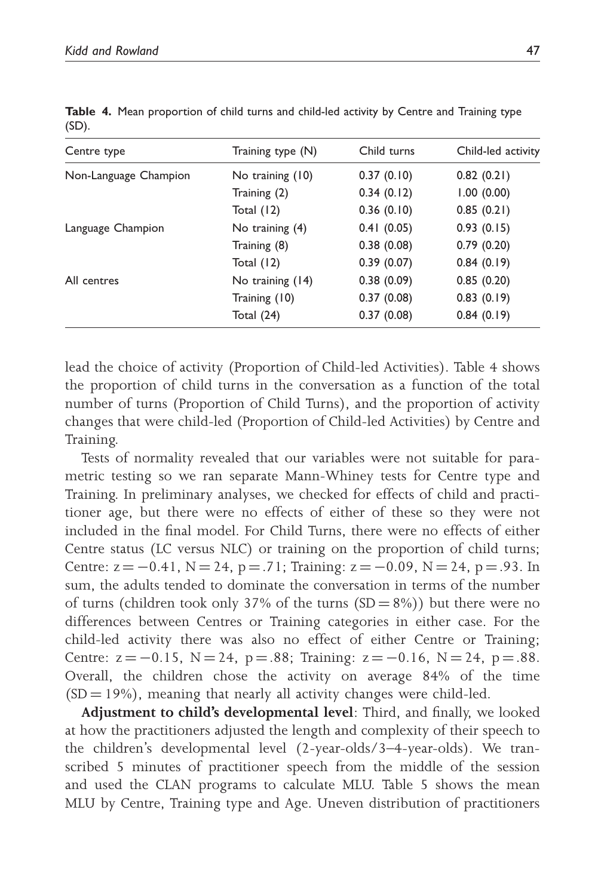| Centre type           | Training type (N)  | Child turns | Child-led activity |
|-----------------------|--------------------|-------------|--------------------|
| Non-Language Champion | No training $(10)$ | 0.37(0.10)  | 0.82(0.21)         |
|                       | Training (2)       | 0.34(0.12)  | 1.00(0.00)         |
|                       | Total (12)         | 0.36(0.10)  | 0.85(0.21)         |
| Language Champion     | No training $(4)$  | 0.41(0.05)  | 0.93(0.15)         |
|                       | Training (8)       | 0.38(0.08)  | 0.79(0.20)         |
|                       | Total $(12)$       | 0.39(0.07)  | 0.84(0.19)         |
| All centres           | No training $(14)$ | 0.38(0.09)  | 0.85(0.20)         |
|                       | Training (10)      | 0.37(0.08)  | 0.83(0.19)         |
|                       | Total (24)         | 0.37(0.08)  | 0.84(0.19)         |

Table 4. Mean proportion of child turns and child-led activity by Centre and Training type (SD).

lead the choice of activity (Proportion of Child-led Activities). Table 4 shows the proportion of child turns in the conversation as a function of the total number of turns (Proportion of Child Turns), and the proportion of activity changes that were child-led (Proportion of Child-led Activities) by Centre and Training.

Tests of normality revealed that our variables were not suitable for parametric testing so we ran separate Mann-Whiney tests for Centre type and Training. In preliminary analyses, we checked for effects of child and practitioner age, but there were no effects of either of these so they were not included in the final model. For Child Turns, there were no effects of either Centre status (LC versus NLC) or training on the proportion of child turns; Centre:  $z = -0.41$ ,  $N = 24$ ,  $p = .71$ ; Training:  $z = -0.09$ ,  $N = 24$ ,  $p = .93$ . In sum, the adults tended to dominate the conversation in terms of the number of turns (children took only 37% of the turns  $(SD = 8\%)$ ) but there were no differences between Centres or Training categories in either case. For the child-led activity there was also no effect of either Centre or Training; Centre:  $z = -0.15$ ,  $N = 24$ ,  $p = .88$ ; Training:  $z = -0.16$ ,  $N = 24$ ,  $p = .88$ . Overall, the children chose the activity on average 84% of the time  $(SD = 19%)$ , meaning that nearly all activity changes were child-led.

Adjustment to child's developmental level: Third, and finally, we looked at how the practitioners adjusted the length and complexity of their speech to the children's developmental level (2-year-olds/3–4-year-olds). We transcribed 5 minutes of practitioner speech from the middle of the session and used the CLAN programs to calculate MLU. Table 5 shows the mean MLU by Centre, Training type and Age. Uneven distribution of practitioners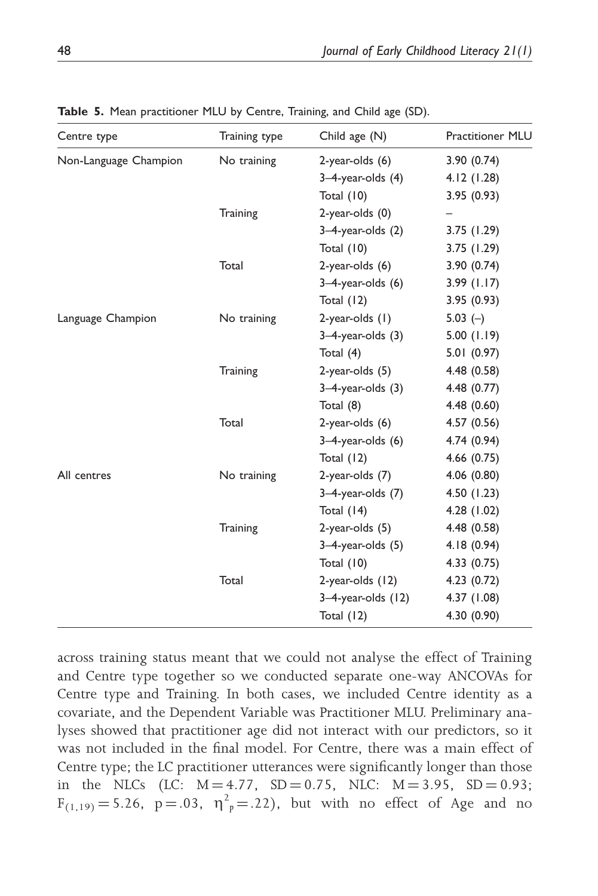| Centre type           | Training type | Child age (N)           | Practitioner MLU |
|-----------------------|---------------|-------------------------|------------------|
| Non-Language Champion | No training   | 2-year-olds (6)         | 3.90(0.74)       |
|                       |               | $3-4$ -year-olds $(4)$  | 4.12(1.28)       |
|                       |               | Total (10)              | 3.95(0.93)       |
|                       | Training      | 2-year-olds (0)         |                  |
|                       |               | $3-4$ -year-olds $(2)$  | 3.75(1.29)       |
|                       |               | Total (10)              | 3.75(1.29)       |
|                       | Total         | 2-year-olds (6)         | 3.90(0.74)       |
|                       |               | $3-4$ -year-olds $(6)$  | 3.99(1.17)       |
|                       |               | Total (12)              | 3.95(0.93)       |
| Language Champion     | No training   | 2-year-olds (1)         | 5.03 $(-)$       |
|                       |               | $3-4$ -year-olds $(3)$  | 5.00(1.19)       |
|                       |               | Total (4)               | 5.01 (0.97)      |
|                       | Training      | 2-year-olds (5)         | 4.48(0.58)       |
|                       |               | $3-4$ -year-olds $(3)$  | 4.48(0.77)       |
|                       |               | Total (8)               | 4.48(0.60)       |
|                       | Total         | 2-year-olds (6)         | 4.57(0.56)       |
|                       |               | $3-4$ -year-olds $(6)$  | 4.74 (0.94)      |
|                       |               | Total (12)              | 4.66(0.75)       |
| All centres           | No training   | 2-year-olds (7)         | 4.06(0.80)       |
|                       |               | $3-4$ -year-olds $(7)$  | 4.50(1.23)       |
|                       |               | Total (14)              | 4.28(1.02)       |
|                       | Training      | 2-year-olds (5)         | 4.48(0.58)       |
|                       |               | $3-4$ -year-olds $(5)$  | 4.18(0.94)       |
|                       |               | Total (10)              | 4.33(0.75)       |
|                       | Total         | 2-year-olds (12)        | 4.23(0.72)       |
|                       |               | $3-4$ -year-olds $(12)$ | 4.37 (1.08)      |
|                       |               | Total (12)              | 4.30 (0.90)      |

Table 5. Mean practitioner MLU by Centre, Training, and Child age (SD).

across training status meant that we could not analyse the effect of Training and Centre type together so we conducted separate one-way ANCOVAs for Centre type and Training. In both cases, we included Centre identity as a covariate, and the Dependent Variable was Practitioner MLU. Preliminary analyses showed that practitioner age did not interact with our predictors, so it was not included in the final model. For Centre, there was a main effect of Centre type; the LC practitioner utterances were significantly longer than those in the NLCs (LC:  $M = 4.77$ , SD = 0.75, NLC:  $M = 3.95$ , SD = 0.93;  $F_{(1,19)} = 5.26$ ,  $p = .03$ ,  $\eta^2 p = .22$ , but with no effect of Age and no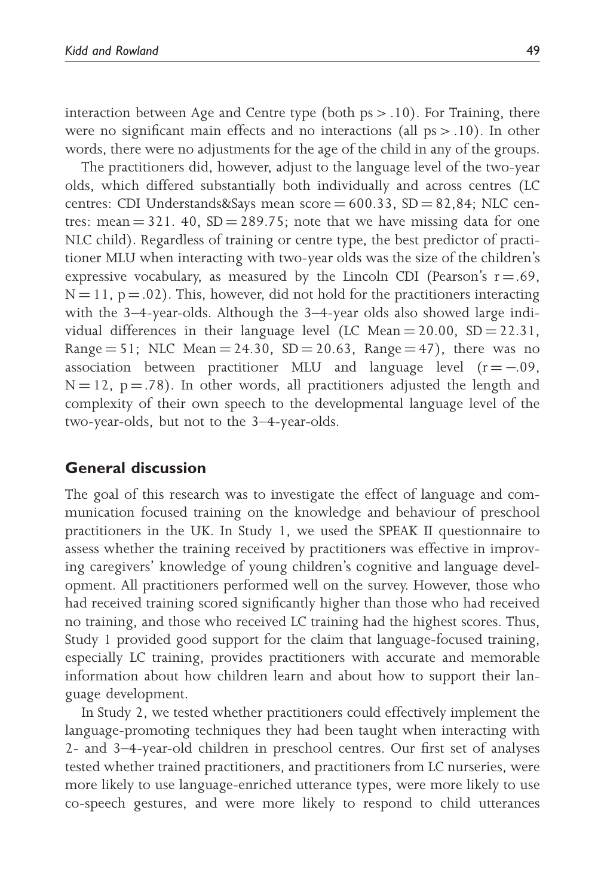interaction between Age and Centre type (both  $ps > .10$ ). For Training, there were no significant main effects and no interactions (all  $ps > .10$ ). In other words, there were no adjustments for the age of the child in any of the groups.

The practitioners did, however, adjust to the language level of the two-year olds, which differed substantially both individually and across centres (LC centres: CDI Understands&Says mean score  $= 600.33$ , SD  $= 82,84$ ; NLC centres: mean  $=$  321. 40, SD  $=$  289.75; note that we have missing data for one NLC child). Regardless of training or centre type, the best predictor of practitioner MLU when interacting with two-year olds was the size of the children's expressive vocabulary, as measured by the Lincoln CDI (Pearson's  $r = .69$ ,  $N = 11$ ,  $p = .02$ ). This, however, did not hold for the practitioners interacting with the 3–4-year-olds. Although the 3–4-year olds also showed large individual differences in their language level (LC Mean  $= 20.00$ , SD  $= 22.31$ , Range = 51; NLC Mean = 24.30, SD = 20.63, Range = 47), there was no association between practitioner MLU and language level  $(r = -.09)$ ,  $N = 12$ ,  $p = .78$ ). In other words, all practitioners adjusted the length and complexity of their own speech to the developmental language level of the two-year-olds, but not to the 3–4-year-olds.

## General discussion

The goal of this research was to investigate the effect of language and communication focused training on the knowledge and behaviour of preschool practitioners in the UK. In Study 1, we used the SPEAK II questionnaire to assess whether the training received by practitioners was effective in improving caregivers' knowledge of young children's cognitive and language development. All practitioners performed well on the survey. However, those who had received training scored significantly higher than those who had received no training, and those who received LC training had the highest scores. Thus, Study 1 provided good support for the claim that language-focused training, especially LC training, provides practitioners with accurate and memorable information about how children learn and about how to support their language development.

In Study 2, we tested whether practitioners could effectively implement the language-promoting techniques they had been taught when interacting with 2- and 3–4-year-old children in preschool centres. Our first set of analyses tested whether trained practitioners, and practitioners from LC nurseries, were more likely to use language-enriched utterance types, were more likely to use co-speech gestures, and were more likely to respond to child utterances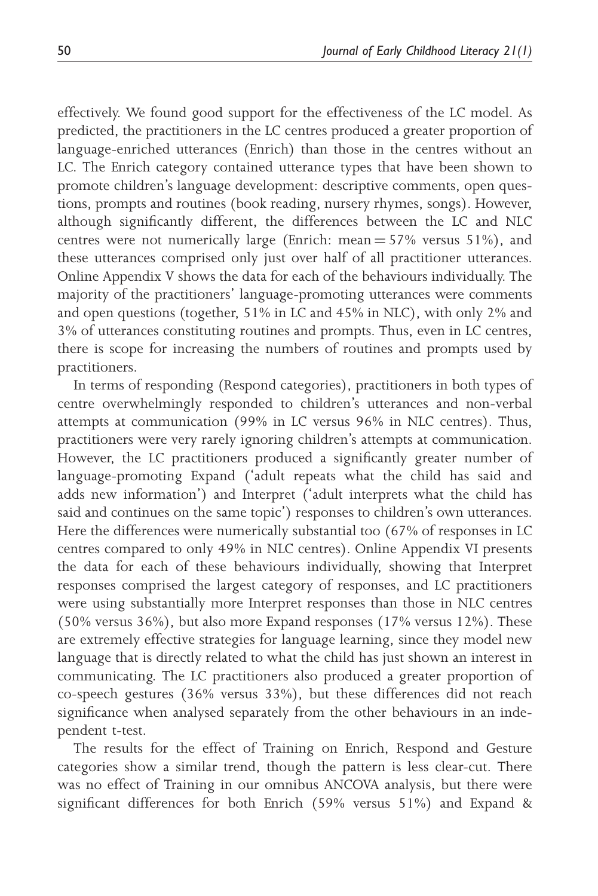effectively. We found good support for the effectiveness of the LC model. As predicted, the practitioners in the LC centres produced a greater proportion of language-enriched utterances (Enrich) than those in the centres without an LC. The Enrich category contained utterance types that have been shown to promote children's language development: descriptive comments, open questions, prompts and routines (book reading, nursery rhymes, songs). However, although significantly different, the differences between the LC and NLC centres were not numerically large (Enrich: mean  $=$  57% versus 51%), and these utterances comprised only just over half of all practitioner utterances. Online Appendix V shows the data for each of the behaviours individually. The majority of the practitioners' language-promoting utterances were comments and open questions (together, 51% in LC and 45% in NLC), with only 2% and 3% of utterances constituting routines and prompts. Thus, even in LC centres, there is scope for increasing the numbers of routines and prompts used by practitioners.

In terms of responding (Respond categories), practitioners in both types of centre overwhelmingly responded to children's utterances and non-verbal attempts at communication (99% in LC versus 96% in NLC centres). Thus, practitioners were very rarely ignoring children's attempts at communication. However, the LC practitioners produced a significantly greater number of language-promoting Expand ('adult repeats what the child has said and adds new information') and Interpret ('adult interprets what the child has said and continues on the same topic') responses to children's own utterances. Here the differences were numerically substantial too (67% of responses in LC centres compared to only 49% in NLC centres). Online Appendix VI presents the data for each of these behaviours individually, showing that Interpret responses comprised the largest category of responses, and LC practitioners were using substantially more Interpret responses than those in NLC centres (50% versus 36%), but also more Expand responses (17% versus 12%). These are extremely effective strategies for language learning, since they model new language that is directly related to what the child has just shown an interest in communicating. The LC practitioners also produced a greater proportion of co-speech gestures (36% versus 33%), but these differences did not reach significance when analysed separately from the other behaviours in an independent t-test.

The results for the effect of Training on Enrich, Respond and Gesture categories show a similar trend, though the pattern is less clear-cut. There was no effect of Training in our omnibus ANCOVA analysis, but there were significant differences for both Enrich (59% versus 51%) and Expand &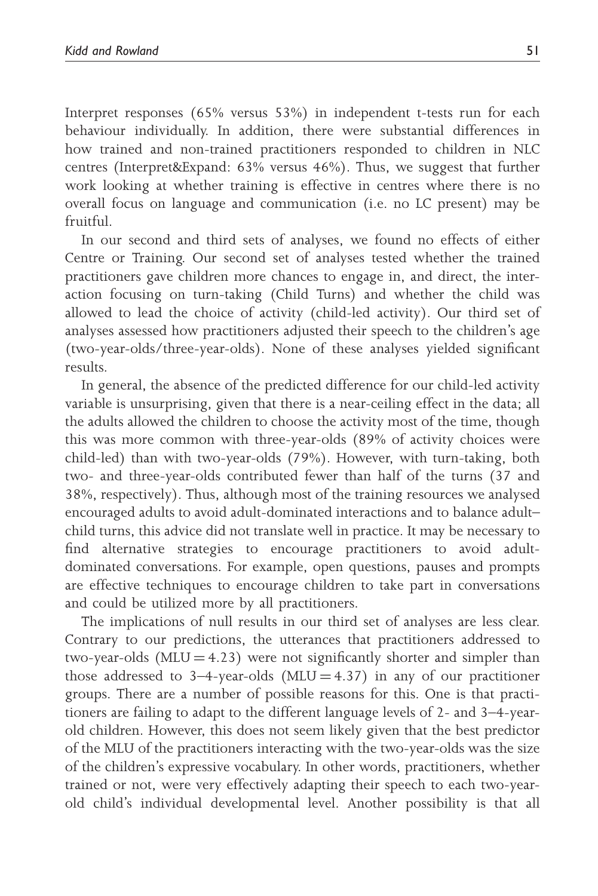Interpret responses (65% versus 53%) in independent t-tests run for each behaviour individually. In addition, there were substantial differences in how trained and non-trained practitioners responded to children in NLC centres (Interpret&Expand: 63% versus 46%). Thus, we suggest that further work looking at whether training is effective in centres where there is no overall focus on language and communication (i.e. no LC present) may be fruitful.

In our second and third sets of analyses, we found no effects of either Centre or Training. Our second set of analyses tested whether the trained practitioners gave children more chances to engage in, and direct, the interaction focusing on turn-taking (Child Turns) and whether the child was allowed to lead the choice of activity (child-led activity). Our third set of analyses assessed how practitioners adjusted their speech to the children's age (two-year-olds/three-year-olds). None of these analyses yielded significant results.

In general, the absence of the predicted difference for our child-led activity variable is unsurprising, given that there is a near-ceiling effect in the data; all the adults allowed the children to choose the activity most of the time, though this was more common with three-year-olds (89% of activity choices were child-led) than with two-year-olds (79%). However, with turn-taking, both two- and three-year-olds contributed fewer than half of the turns (37 and 38%, respectively). Thus, although most of the training resources we analysed encouraged adults to avoid adult-dominated interactions and to balance adult– child turns, this advice did not translate well in practice. It may be necessary to find alternative strategies to encourage practitioners to avoid adultdominated conversations. For example, open questions, pauses and prompts are effective techniques to encourage children to take part in conversations and could be utilized more by all practitioners.

The implications of null results in our third set of analyses are less clear. Contrary to our predictions, the utterances that practitioners addressed to two-year-olds (MLU  $=$  4.23) were not significantly shorter and simpler than those addressed to 3–4-year-olds (MLU  $=$  4.37) in any of our practitioner groups. There are a number of possible reasons for this. One is that practitioners are failing to adapt to the different language levels of 2- and 3–4-yearold children. However, this does not seem likely given that the best predictor of the MLU of the practitioners interacting with the two-year-olds was the size of the children's expressive vocabulary. In other words, practitioners, whether trained or not, were very effectively adapting their speech to each two-yearold child's individual developmental level. Another possibility is that all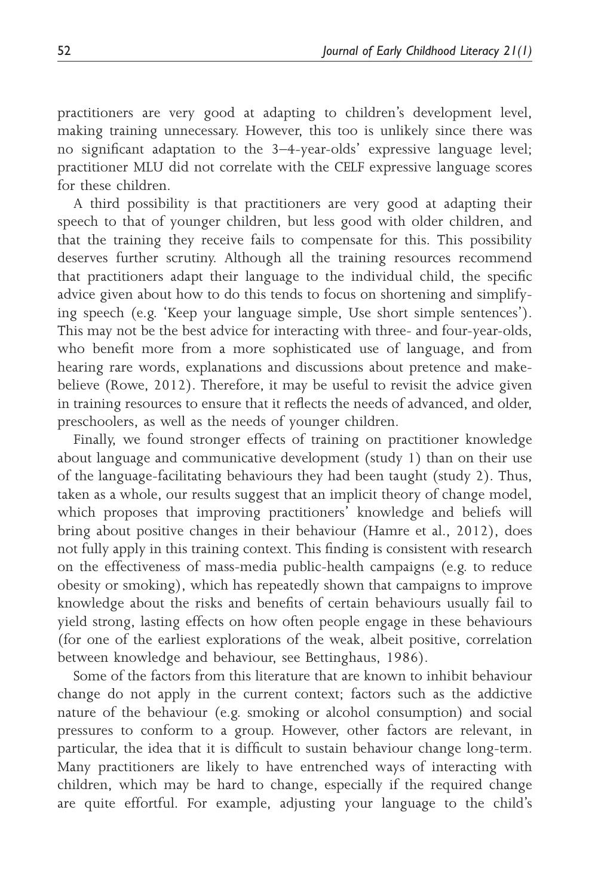practitioners are very good at adapting to children's development level, making training unnecessary. However, this too is unlikely since there was no significant adaptation to the 3–4-year-olds' expressive language level; practitioner MLU did not correlate with the CELF expressive language scores for these children.

A third possibility is that practitioners are very good at adapting their speech to that of younger children, but less good with older children, and that the training they receive fails to compensate for this. This possibility deserves further scrutiny. Although all the training resources recommend that practitioners adapt their language to the individual child, the specific advice given about how to do this tends to focus on shortening and simplifying speech (e.g. 'Keep your language simple, Use short simple sentences'). This may not be the best advice for interacting with three- and four-year-olds, who benefit more from a more sophisticated use of language, and from hearing rare words, explanations and discussions about pretence and makebelieve (Rowe, 2012). Therefore, it may be useful to revisit the advice given in training resources to ensure that it reflects the needs of advanced, and older, preschoolers, as well as the needs of younger children.

Finally, we found stronger effects of training on practitioner knowledge about language and communicative development (study 1) than on their use of the language-facilitating behaviours they had been taught (study 2). Thus, taken as a whole, our results suggest that an implicit theory of change model, which proposes that improving practitioners' knowledge and beliefs will bring about positive changes in their behaviour (Hamre et al., 2012), does not fully apply in this training context. This finding is consistent with research on the effectiveness of mass-media public-health campaigns (e.g. to reduce obesity or smoking), which has repeatedly shown that campaigns to improve knowledge about the risks and benefits of certain behaviours usually fail to yield strong, lasting effects on how often people engage in these behaviours (for one of the earliest explorations of the weak, albeit positive, correlation between knowledge and behaviour, see Bettinghaus, 1986).

Some of the factors from this literature that are known to inhibit behaviour change do not apply in the current context; factors such as the addictive nature of the behaviour (e.g. smoking or alcohol consumption) and social pressures to conform to a group. However, other factors are relevant, in particular, the idea that it is difficult to sustain behaviour change long-term. Many practitioners are likely to have entrenched ways of interacting with children, which may be hard to change, especially if the required change are quite effortful. For example, adjusting your language to the child's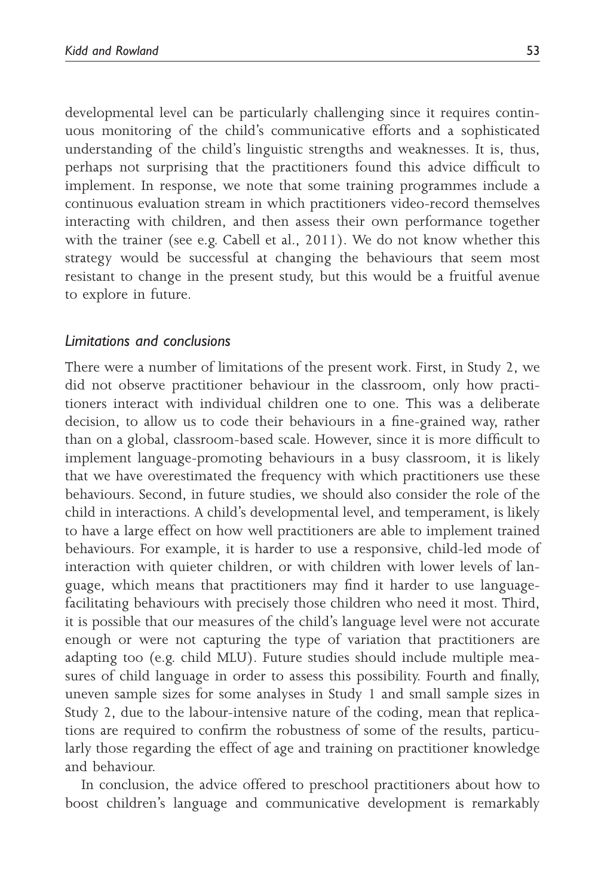developmental level can be particularly challenging since it requires continuous monitoring of the child's communicative efforts and a sophisticated understanding of the child's linguistic strengths and weaknesses. It is, thus, perhaps not surprising that the practitioners found this advice difficult to implement. In response, we note that some training programmes include a continuous evaluation stream in which practitioners video-record themselves interacting with children, and then assess their own performance together with the trainer (see e.g. Cabell et al., 2011). We do not know whether this strategy would be successful at changing the behaviours that seem most resistant to change in the present study, but this would be a fruitful avenue to explore in future.

### Limitations and conclusions

There were a number of limitations of the present work. First, in Study 2, we did not observe practitioner behaviour in the classroom, only how practitioners interact with individual children one to one. This was a deliberate decision, to allow us to code their behaviours in a fine-grained way, rather than on a global, classroom-based scale. However, since it is more difficult to implement language-promoting behaviours in a busy classroom, it is likely that we have overestimated the frequency with which practitioners use these behaviours. Second, in future studies, we should also consider the role of the child in interactions. A child's developmental level, and temperament, is likely to have a large effect on how well practitioners are able to implement trained behaviours. For example, it is harder to use a responsive, child-led mode of interaction with quieter children, or with children with lower levels of language, which means that practitioners may find it harder to use languagefacilitating behaviours with precisely those children who need it most. Third, it is possible that our measures of the child's language level were not accurate enough or were not capturing the type of variation that practitioners are adapting too (e.g. child MLU). Future studies should include multiple measures of child language in order to assess this possibility. Fourth and finally, uneven sample sizes for some analyses in Study 1 and small sample sizes in Study 2, due to the labour-intensive nature of the coding, mean that replications are required to confirm the robustness of some of the results, particularly those regarding the effect of age and training on practitioner knowledge and behaviour.

In conclusion, the advice offered to preschool practitioners about how to boost children's language and communicative development is remarkably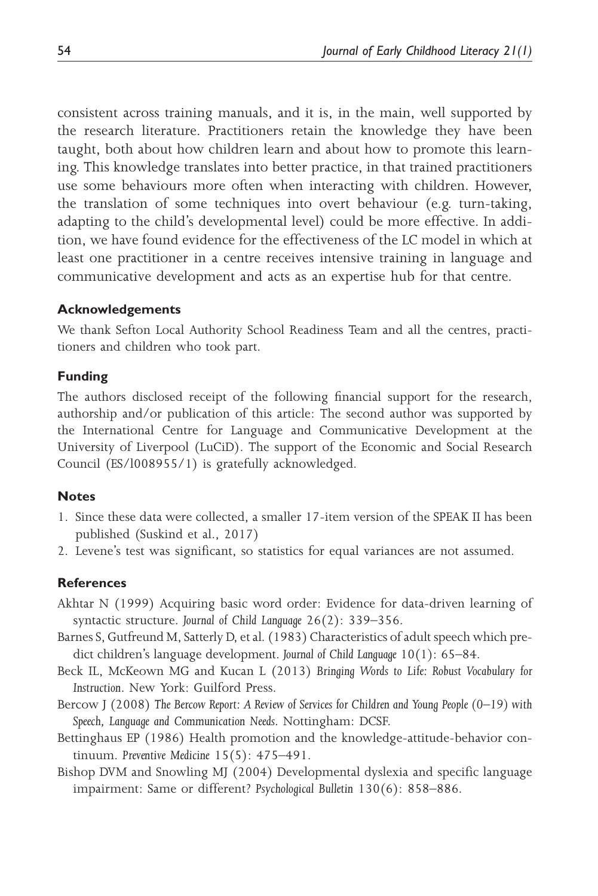consistent across training manuals, and it is, in the main, well supported by the research literature. Practitioners retain the knowledge they have been taught, both about how children learn and about how to promote this learning. This knowledge translates into better practice, in that trained practitioners use some behaviours more often when interacting with children. However, the translation of some techniques into overt behaviour (e.g. turn-taking, adapting to the child's developmental level) could be more effective. In addition, we have found evidence for the effectiveness of the LC model in which at least one practitioner in a centre receives intensive training in language and communicative development and acts as an expertise hub for that centre.

#### Acknowledgements

We thank Sefton Local Authority School Readiness Team and all the centres, practitioners and children who took part.

#### Funding

The authors disclosed receipt of the following financial support for the research, authorship and/or publication of this article: The second author was supported by the International Centre for Language and Communicative Development at the University of Liverpool (LuCiD). The support of the Economic and Social Research Council (ES/l008955/1) is gratefully acknowledged.

#### **Notes**

- 1. Since these data were collected, a smaller 17-item version of the SPEAK II has been published (Suskind et al., 2017)
- 2. Levene's test was significant, so statistics for equal variances are not assumed.

#### **References**

- Akhtar N (1999) Acquiring basic word order: Evidence for data-driven learning of syntactic structure. Journal of Child Language 26(2): 339–356.
- Barnes S, Gutfreund M, Satterly D, et al. (1983) Characteristics of adult speech which predict children's language development. Journal of Child Language 10(1): 65–84.
- Beck IL, McKeown MG and Kucan L (2013) Bringing Words to Life: Robust Vocabulary for Instruction. New York: Guilford Press.
- Bercow J (2008) The Bercow Report: A Review of Services for Children and Young People (0–19) with Speech, Language and Communication Needs. Nottingham: DCSF.
- Bettinghaus EP (1986) Health promotion and the knowledge-attitude-behavior continuum. Preventive Medicine 15(5): 475–491.
- Bishop DVM and Snowling MJ (2004) Developmental dyslexia and specific language impairment: Same or different? Psychological Bulletin 130(6): 858–886.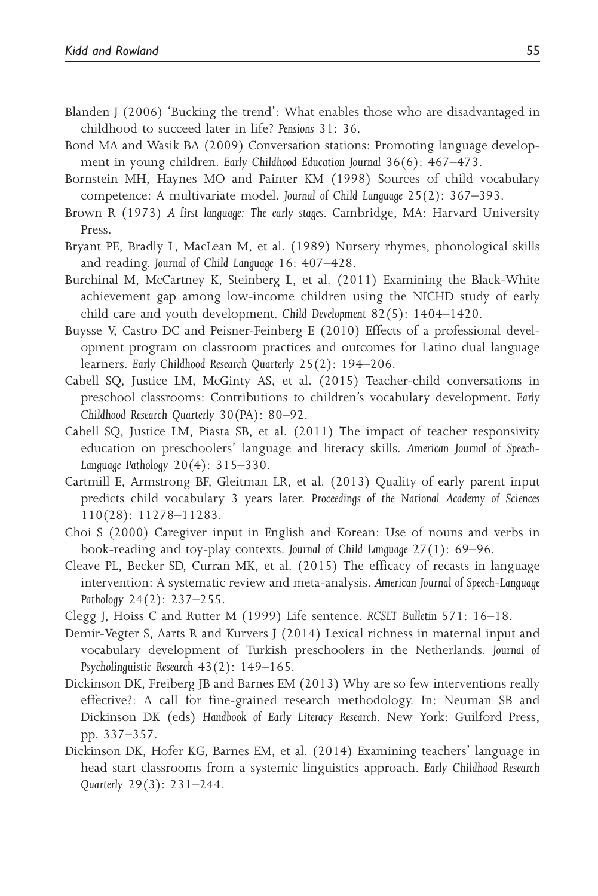- Blanden J (2006) 'Bucking the trend': What enables those who are disadvantaged in childhood to succeed later in life? Pensions 31: 36.
- Bond MA and Wasik BA (2009) Conversation stations: Promoting language development in young children. Early Childhood Education Journal 36(6): 467–473.
- Bornstein MH, Haynes MO and Painter KM (1998) Sources of child vocabulary competence: A multivariate model. Journal of Child Language 25(2): 367–393.
- Brown R (1973) A first language: The early stages. Cambridge, MA: Harvard University Press.
- Bryant PE, Bradly L, MacLean M, et al. (1989) Nursery rhymes, phonological skills and reading. Journal of Child Language 16: 407–428.
- Burchinal M, McCartney K, Steinberg L, et al. (2011) Examining the Black-White achievement gap among low-income children using the NICHD study of early child care and youth development. Child Development 82(5): 1404–1420.
- Buysse V, Castro DC and Peisner-Feinberg E (2010) Effects of a professional development program on classroom practices and outcomes for Latino dual language learners. Early Childhood Research Quarterly 25(2): 194–206.
- Cabell SQ, Justice LM, McGinty AS, et al. (2015) Teacher-child conversations in preschool classrooms: Contributions to children's vocabulary development. Early Childhood Research Quarterly 30(PA): 80–92.
- Cabell SQ, Justice LM, Piasta SB, et al. (2011) The impact of teacher responsivity education on preschoolers' language and literacy skills. American Journal of Speech-Language Pathology 20(4): 315–330.
- Cartmill E, Armstrong BF, Gleitman LR, et al. (2013) Quality of early parent input predicts child vocabulary 3 years later. Proceedings of the National Academy of Sciences 110(28): 11278–11283.
- Choi S (2000) Caregiver input in English and Korean: Use of nouns and verbs in book-reading and toy-play contexts. Journal of Child Language 27(1): 69–96.
- Cleave PL, Becker SD, Curran MK, et al. (2015) The efficacy of recasts in language intervention: A systematic review and meta-analysis. American Journal of Speech-Language Pathology 24(2): 237–255.
- Clegg J, Hoiss C and Rutter M (1999) Life sentence. RCSLT Bulletin 571: 16–18.
- Demir-Vegter S, Aarts R and Kurvers J (2014) Lexical richness in maternal input and vocabulary development of Turkish preschoolers in the Netherlands. Journal of Psycholinguistic Research 43(2): 149–165.
- Dickinson DK, Freiberg JB and Barnes EM (2013) Why are so few interventions really effective?: A call for fine-grained research methodology. In: Neuman SB and Dickinson DK (eds) Handbook of Early Literacy Research. New York: Guilford Press, pp. 337–357.
- Dickinson DK, Hofer KG, Barnes EM, et al. (2014) Examining teachers' language in head start classrooms from a systemic linguistics approach. Early Childhood Research Quarterly 29(3): 231–244.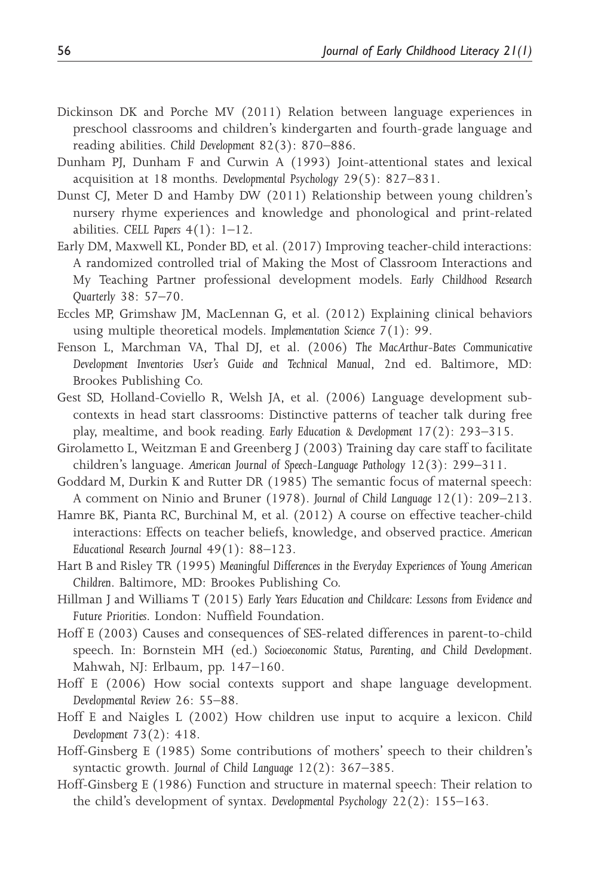- Dickinson DK and Porche MV (2011) Relation between language experiences in preschool classrooms and children's kindergarten and fourth-grade language and reading abilities. Child Development 82(3): 870–886.
- Dunham PJ, Dunham F and Curwin A (1993) Joint-attentional states and lexical acquisition at 18 months. Developmental Psychology 29(5): 827–831.
- Dunst CJ, Meter D and Hamby DW (2011) Relationship between young children's nursery rhyme experiences and knowledge and phonological and print-related abilities. CELL Papers  $4(1)$ :  $1-12$ .
- Early DM, Maxwell KL, Ponder BD, et al. (2017) Improving teacher-child interactions: A randomized controlled trial of Making the Most of Classroom Interactions and My Teaching Partner professional development models. Early Childhood Research Quarterly 38: 57–70.
- Eccles MP, Grimshaw JM, MacLennan G, et al. (2012) Explaining clinical behaviors using multiple theoretical models. Implementation Science 7(1): 99.
- Fenson L, Marchman VA, Thal DJ, et al. (2006) The MacArthur-Bates Communicative Development Inventories User's Guide and Technical Manual, 2nd ed. Baltimore, MD: Brookes Publishing Co.
- Gest SD, Holland-Coviello R, Welsh JA, et al. (2006) Language development subcontexts in head start classrooms: Distinctive patterns of teacher talk during free play, mealtime, and book reading. Early Education & Development 17(2): 293–315.
- Girolametto L, Weitzman E and Greenberg J (2003) Training day care staff to facilitate children's language. American Journal of Speech-Language Pathology 12(3): 299–311.
- Goddard M, Durkin K and Rutter DR (1985) The semantic focus of maternal speech: A comment on Ninio and Bruner (1978). Journal of Child Language 12(1): 209–213.
- Hamre BK, Pianta RC, Burchinal M, et al. (2012) A course on effective teacher-child interactions: Effects on teacher beliefs, knowledge, and observed practice. American Educational Research Journal 49(1): 88–123.
- Hart B and Risley TR (1995) Meaningful Differences in the Everyday Experiences of Young American Children. Baltimore, MD: Brookes Publishing Co.
- Hillman J and Williams T (2015) Early Years Education and Childcare: Lessons from Evidence and Future Priorities. London: Nuffield Foundation.
- Hoff E (2003) Causes and consequences of SES-related differences in parent-to-child speech. In: Bornstein MH (ed.) Socioeconomic Status, Parenting, and Child Development. Mahwah, NJ: Erlbaum, pp. 147–160.
- Hoff E (2006) How social contexts support and shape language development. Developmental Review 26: 55–88.
- Hoff E and Naigles L (2002) How children use input to acquire a lexicon. Child Development 73(2): 418.
- Hoff-Ginsberg E (1985) Some contributions of mothers' speech to their children's syntactic growth. Journal of Child Language 12(2): 367–385.
- Hoff-Ginsberg E (1986) Function and structure in maternal speech: Their relation to the child's development of syntax. Developmental Psychology 22(2): 155–163.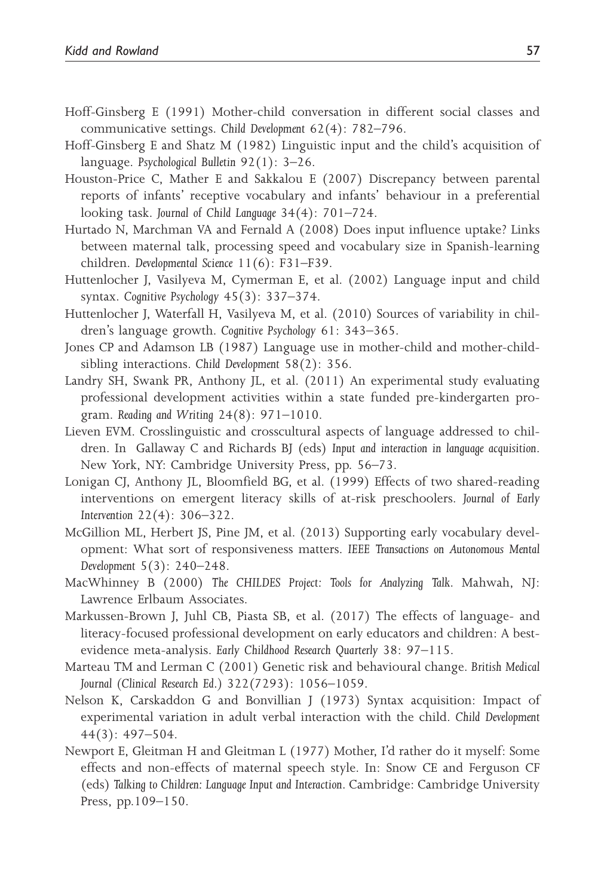- Hoff-Ginsberg E (1991) Mother-child conversation in different social classes and communicative settings. Child Development 62(4): 782–796.
- Hoff-Ginsberg E and Shatz M (1982) Linguistic input and the child's acquisition of language. Psychological Bulletin 92(1): 3–26.
- Houston-Price C, Mather E and Sakkalou E (2007) Discrepancy between parental reports of infants' receptive vocabulary and infants' behaviour in a preferential looking task. Journal of Child Language 34(4): 701–724.
- Hurtado N, Marchman VA and Fernald A (2008) Does input influence uptake? Links between maternal talk, processing speed and vocabulary size in Spanish-learning children. Developmental Science 11(6): F31–F39.
- Huttenlocher J, Vasilyeva M, Cymerman E, et al. (2002) Language input and child syntax. Cognitive Psychology 45(3): 337–374.
- Huttenlocher J, Waterfall H, Vasilyeva M, et al. (2010) Sources of variability in children's language growth. Cognitive Psychology 61: 343–365.
- Jones CP and Adamson LB (1987) Language use in mother-child and mother-childsibling interactions. Child Development 58(2): 356.
- Landry SH, Swank PR, Anthony JL, et al. (2011) An experimental study evaluating professional development activities within a state funded pre-kindergarten program. Reading and Writing  $24(8)$ : 971-1010.
- Lieven EVM. Crosslinguistic and crosscultural aspects of language addressed to children. In Gallaway C and Richards BJ (eds) Input and interaction in language acquisition. New York, NY: Cambridge University Press, pp. 56–73.
- Lonigan CJ, Anthony JL, Bloomfield BG, et al. (1999) Effects of two shared-reading interventions on emergent literacy skills of at-risk preschoolers. Journal of Early Intervention 22(4): 306–322.
- McGillion ML, Herbert JS, Pine JM, et al. (2013) Supporting early vocabulary development: What sort of responsiveness matters. IEEE Transactions on Autonomous Mental Development 5(3): 240–248.
- MacWhinney B (2000) The CHILDES Project: Tools for Analyzing Talk. Mahwah, NJ: Lawrence Erlbaum Associates.
- Markussen-Brown J, Juhl CB, Piasta SB, et al. (2017) The effects of language- and literacy-focused professional development on early educators and children: A bestevidence meta-analysis. Early Childhood Research Quarterly 38: 97–115.
- Marteau TM and Lerman C (2001) Genetic risk and behavioural change. British Medical Journal (Clinical Research Ed.) 322(7293): 1056–1059.
- Nelson K, Carskaddon G and Bonvillian J (1973) Syntax acquisition: Impact of experimental variation in adult verbal interaction with the child. Child Development 44(3): 497–504.
- Newport E, Gleitman H and Gleitman L (1977) Mother, I'd rather do it myself: Some effects and non-effects of maternal speech style. In: Snow CE and Ferguson CF (eds) Talking to Children: Language Input and Interaction. Cambridge: Cambridge University Press, pp.109–150.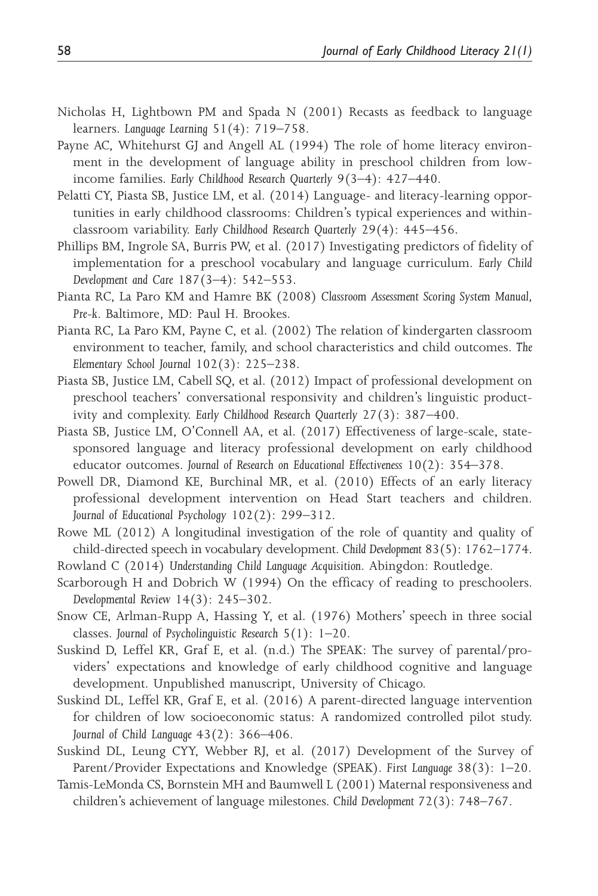- Nicholas H, Lightbown PM and Spada N (2001) Recasts as feedback to language learners. Language Learning 51(4): 719–758.
- Payne AC, Whitehurst GJ and Angell AL (1994) The role of home literacy environment in the development of language ability in preschool children from lowincome families. Early Childhood Research Quarterly 9(3–4): 427–440.
- Pelatti CY, Piasta SB, Justice LM, et al. (2014) Language- and literacy-learning opportunities in early childhood classrooms: Children's typical experiences and withinclassroom variability. Early Childhood Research Quarterly 29(4): 445–456.
- Phillips BM, Ingrole SA, Burris PW, et al. (2017) Investigating predictors of fidelity of implementation for a preschool vocabulary and language curriculum. Early Child Development and Care 187(3–4): 542–553.
- Pianta RC, La Paro KM and Hamre BK (2008) Classroom Assessment Scoring System Manual, Pre-k. Baltimore, MD: Paul H. Brookes.
- Pianta RC, La Paro KM, Payne C, et al. (2002) The relation of kindergarten classroom environment to teacher, family, and school characteristics and child outcomes. The Elementary School Journal 102(3): 225–238.
- Piasta SB, Justice LM, Cabell SQ, et al. (2012) Impact of professional development on preschool teachers' conversational responsivity and children's linguistic productivity and complexity. Early Childhood Research Quarterly 27(3): 387–400.
- Piasta SB, Justice LM, O'Connell AA, et al. (2017) Effectiveness of large-scale, statesponsored language and literacy professional development on early childhood educator outcomes. Journal of Research on Educational Effectiveness 10(2): 354–378.
- Powell DR, Diamond KE, Burchinal MR, et al. (2010) Effects of an early literacy professional development intervention on Head Start teachers and children. Journal of Educational Psychology 102(2): 299–312.
- Rowe ML (2012) A longitudinal investigation of the role of quantity and quality of child-directed speech in vocabulary development. Child Development 83(5): 1762–1774.
- Rowland C (2014) Understanding Child Language Acquisition. Abingdon: Routledge.
- Scarborough H and Dobrich W (1994) On the efficacy of reading to preschoolers. Developmental Review 14(3): 245–302.
- Snow CE, Arlman-Rupp A, Hassing Y, et al. (1976) Mothers' speech in three social classes. Journal of Psycholinguistic Research 5(1): 1–20.
- Suskind D, Leffel KR, Graf E, et al. (n.d.) The SPEAK: The survey of parental/providers' expectations and knowledge of early childhood cognitive and language development. Unpublished manuscript, University of Chicago.
- Suskind DL, Leffel KR, Graf E, et al. (2016) A parent-directed language intervention for children of low socioeconomic status: A randomized controlled pilot study. Journal of Child Language 43(2): 366–406.
- Suskind DL, Leung CYY, Webber RJ, et al. (2017) Development of the Survey of Parent/Provider Expectations and Knowledge (SPEAK). First Language 38(3): 1–20.
- Tamis-LeMonda CS, Bornstein MH and Baumwell L (2001) Maternal responsiveness and children's achievement of language milestones. Child Development 72(3): 748–767.